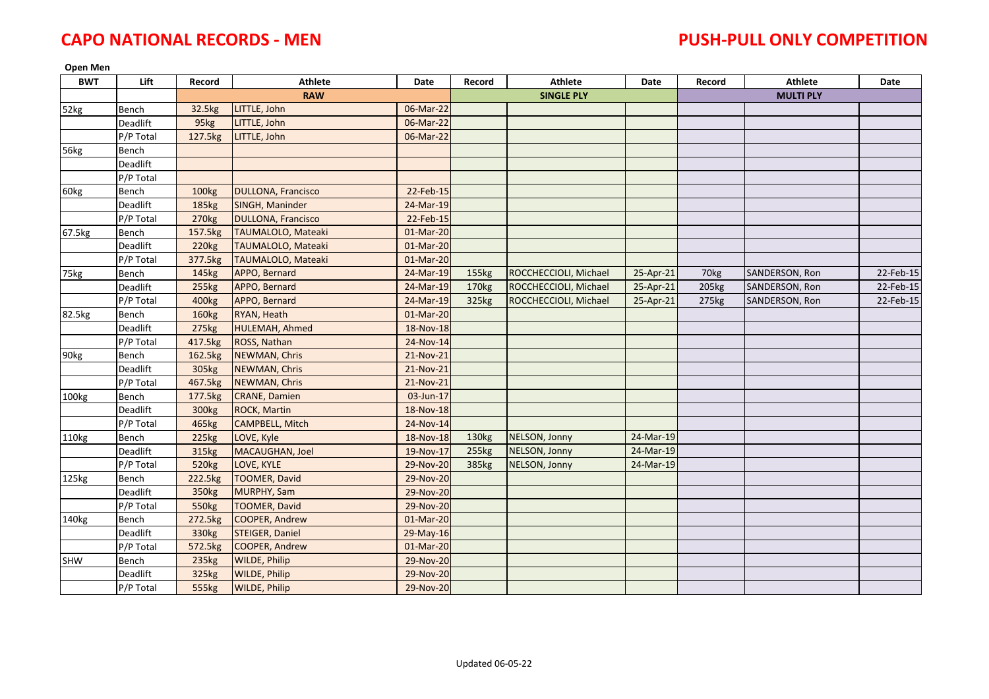**Open Men**

| <b>BWT</b> | Lift            | Record            | Athlete                   | Date      | Record            | <b>Athlete</b>        | Date      | Record | Athlete          | Date      |
|------------|-----------------|-------------------|---------------------------|-----------|-------------------|-----------------------|-----------|--------|------------------|-----------|
|            |                 |                   | <b>RAW</b>                |           |                   | <b>SINGLE PLY</b>     |           |        | <b>MULTI PLY</b> |           |
| 52kg       | Bench           | 32.5kg            | LITTLE, John              | 06-Mar-22 |                   |                       |           |        |                  |           |
|            | Deadlift        | 95kg              | LITTLE, John              | 06-Mar-22 |                   |                       |           |        |                  |           |
|            | P/P Total       | 127.5kg           | LITTLE, John              | 06-Mar-22 |                   |                       |           |        |                  |           |
| 56kg       | Bench           |                   |                           |           |                   |                       |           |        |                  |           |
|            | Deadlift        |                   |                           |           |                   |                       |           |        |                  |           |
|            | P/P Total       |                   |                           |           |                   |                       |           |        |                  |           |
| 60kg       | Bench           | 100kg             | <b>DULLONA, Francisco</b> | 22-Feb-15 |                   |                       |           |        |                  |           |
|            | <b>Deadlift</b> | 185kg             | SINGH, Maninder           | 24-Mar-19 |                   |                       |           |        |                  |           |
|            | P/P Total       | 270 <sub>kg</sub> | <b>DULLONA, Francisco</b> | 22-Feb-15 |                   |                       |           |        |                  |           |
| 67.5kg     | Bench           | 157.5kg           | TAUMALOLO, Mateaki        | 01-Mar-20 |                   |                       |           |        |                  |           |
|            | Deadlift        | 220 <sub>kg</sub> | <b>TAUMALOLO, Mateaki</b> | 01-Mar-20 |                   |                       |           |        |                  |           |
|            | P/P Total       | 377.5kg           | <b>TAUMALOLO, Mateaki</b> | 01-Mar-20 |                   |                       |           |        |                  |           |
| 75kg       | Bench           | 145kg             | APPO, Bernard             | 24-Mar-19 | 155kg             | ROCCHECCIOLI, Michael | 25-Apr-21 | 70kg   | SANDERSON, Ron   | 22-Feb-15 |
|            | Deadlift        | 255kg             | APPO, Bernard             | 24-Mar-19 | 170kg             | ROCCHECCIOLI, Michael | 25-Apr-21 | 205kg  | SANDERSON, Ron   | 22-Feb-15 |
|            | P/P Total       | 400 <sub>kg</sub> | APPO, Bernard             | 24-Mar-19 | 325kg             | ROCCHECCIOLI, Michael | 25-Apr-21 | 275kg  | SANDERSON, Ron   | 22-Feb-15 |
| 82.5kg     | Bench           | 160kg             | RYAN, Heath               | 01-Mar-20 |                   |                       |           |        |                  |           |
|            | Deadlift        | 275kg             | HULEMAH, Ahmed            | 18-Nov-18 |                   |                       |           |        |                  |           |
|            | P/P Total       | 417.5kg           | ROSS, Nathan              | 24-Nov-14 |                   |                       |           |        |                  |           |
| 90kg       | Bench           | 162.5kg           | NEWMAN, Chris             | 21-Nov-21 |                   |                       |           |        |                  |           |
|            | Deadlift        | 305kg             | NEWMAN, Chris             | 21-Nov-21 |                   |                       |           |        |                  |           |
|            | P/P Total       | 467.5kg           | NEWMAN, Chris             | 21-Nov-21 |                   |                       |           |        |                  |           |
| 100kg      | Bench           | 177.5kg           | <b>CRANE, Damien</b>      | 03-Jun-17 |                   |                       |           |        |                  |           |
|            | Deadlift        | 300 <sub>kg</sub> | <b>ROCK, Martin</b>       | 18-Nov-18 |                   |                       |           |        |                  |           |
|            | P/P Total       | 465kg             | CAMPBELL, Mitch           | 24-Nov-14 |                   |                       |           |        |                  |           |
| 110kg      | Bench           | 225kg             | LOVE, Kyle                | 18-Nov-18 | 130 <sub>kg</sub> | NELSON, Jonny         | 24-Mar-19 |        |                  |           |
|            | Deadlift        | 315kg             | MACAUGHAN, Joel           | 19-Nov-17 | 255kg             | NELSON, Jonny         | 24-Mar-19 |        |                  |           |
|            | P/P Total       | 520 <sub>kg</sub> | LOVE, KYLE                | 29-Nov-20 | 385kg             | NELSON, Jonny         | 24-Mar-19 |        |                  |           |
| 125kg      | Bench           | 222.5kg           | <b>TOOMER, David</b>      | 29-Nov-20 |                   |                       |           |        |                  |           |
|            | Deadlift        | 350kg             | MURPHY, Sam               | 29-Nov-20 |                   |                       |           |        |                  |           |
|            | P/P Total       | 550 <sub>kg</sub> | <b>TOOMER, David</b>      | 29-Nov-20 |                   |                       |           |        |                  |           |
| 140kg      | Bench           | 272.5kg           | <b>COOPER, Andrew</b>     | 01-Mar-20 |                   |                       |           |        |                  |           |
|            | <b>Deadlift</b> | 330 <sub>kg</sub> | <b>STEIGER, Daniel</b>    | 29-May-16 |                   |                       |           |        |                  |           |
|            | P/P Total       | 572.5kg           | <b>COOPER, Andrew</b>     | 01-Mar-20 |                   |                       |           |        |                  |           |
| <b>SHW</b> | Bench           | 235 <sub>kg</sub> | <b>WILDE, Philip</b>      | 29-Nov-20 |                   |                       |           |        |                  |           |
|            | <b>Deadlift</b> | 325kg             | <b>WILDE, Philip</b>      | 29-Nov-20 |                   |                       |           |        |                  |           |
|            | P/P Total       | 555kg             | <b>WILDE, Philip</b>      | 29-Nov-20 |                   |                       |           |        |                  |           |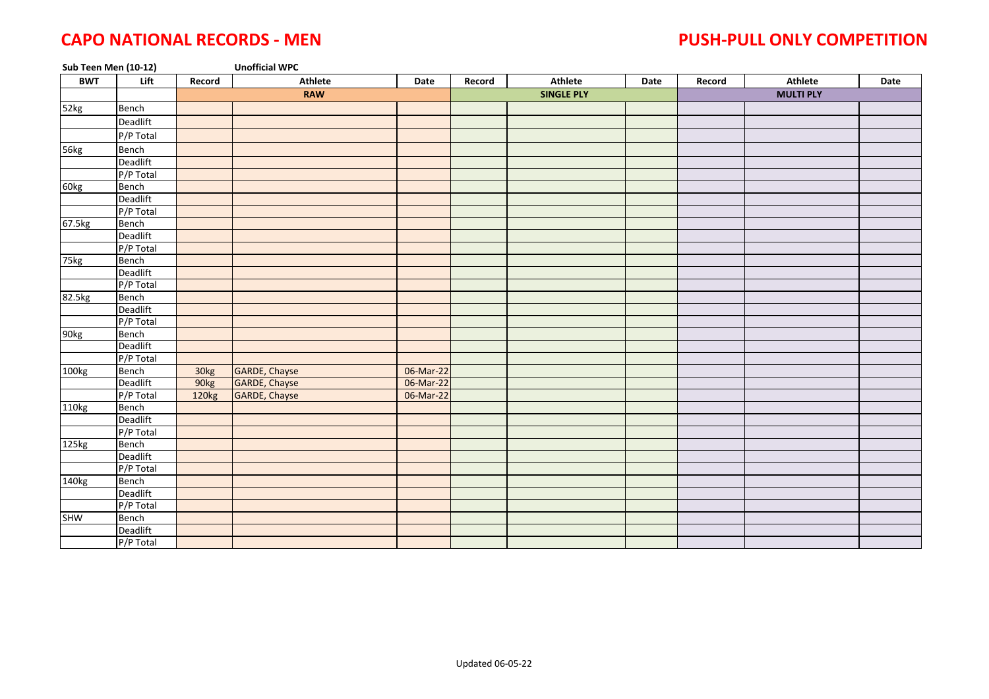| Sub Teen Men (10-12) |           |                  | <b>Unofficial WPC</b> |           |        |                   |      |        |                  |      |
|----------------------|-----------|------------------|-----------------------|-----------|--------|-------------------|------|--------|------------------|------|
| <b>BWT</b>           | Lift      | Record           | <b>Athlete</b>        | Date      | Record | <b>Athlete</b>    | Date | Record | Athlete          | Date |
|                      |           |                  | <b>RAW</b>            |           |        | <b>SINGLE PLY</b> |      |        | <b>MULTI PLY</b> |      |
| 52kg                 | Bench     |                  |                       |           |        |                   |      |        |                  |      |
|                      | Deadlift  |                  |                       |           |        |                   |      |        |                  |      |
|                      | P/P Total |                  |                       |           |        |                   |      |        |                  |      |
| 56kg                 | Bench     |                  |                       |           |        |                   |      |        |                  |      |
|                      | Deadlift  |                  |                       |           |        |                   |      |        |                  |      |
|                      | P/P Total |                  |                       |           |        |                   |      |        |                  |      |
| 60kg                 | Bench     |                  |                       |           |        |                   |      |        |                  |      |
|                      | Deadlift  |                  |                       |           |        |                   |      |        |                  |      |
|                      | P/P Total |                  |                       |           |        |                   |      |        |                  |      |
| 67.5kg               | Bench     |                  |                       |           |        |                   |      |        |                  |      |
|                      | Deadlift  |                  |                       |           |        |                   |      |        |                  |      |
|                      | P/P Total |                  |                       |           |        |                   |      |        |                  |      |
| 75kg                 | Bench     |                  |                       |           |        |                   |      |        |                  |      |
|                      | Deadlift  |                  |                       |           |        |                   |      |        |                  |      |
|                      | P/P Total |                  |                       |           |        |                   |      |        |                  |      |
| 82.5kg               | Bench     |                  |                       |           |        |                   |      |        |                  |      |
|                      | Deadlift  |                  |                       |           |        |                   |      |        |                  |      |
|                      | P/P Total |                  |                       |           |        |                   |      |        |                  |      |
| 90kg                 | Bench     |                  |                       |           |        |                   |      |        |                  |      |
|                      | Deadlift  |                  |                       |           |        |                   |      |        |                  |      |
|                      | P/P Total |                  |                       |           |        |                   |      |        |                  |      |
| 100kg                | Bench     | 30kg             | GARDE, Chayse         | 06-Mar-22 |        |                   |      |        |                  |      |
|                      | Deadlift  | 90 <sub>kg</sub> | GARDE, Chayse         | 06-Mar-22 |        |                   |      |        |                  |      |
|                      | P/P Total | 120kg            | GARDE, Chayse         | 06-Mar-22 |        |                   |      |        |                  |      |
| 110kg                | Bench     |                  |                       |           |        |                   |      |        |                  |      |
|                      | Deadlift  |                  |                       |           |        |                   |      |        |                  |      |
|                      | P/P Total |                  |                       |           |        |                   |      |        |                  |      |
| 125kg                | Bench     |                  |                       |           |        |                   |      |        |                  |      |
|                      | Deadlift  |                  |                       |           |        |                   |      |        |                  |      |
|                      | P/P Total |                  |                       |           |        |                   |      |        |                  |      |
| 140kg                | Bench     |                  |                       |           |        |                   |      |        |                  |      |
|                      | Deadlift  |                  |                       |           |        |                   |      |        |                  |      |
|                      | P/P Total |                  |                       |           |        |                   |      |        |                  |      |
| <b>SHW</b>           | Bench     |                  |                       |           |        |                   |      |        |                  |      |
|                      | Deadlift  |                  |                       |           |        |                   |      |        |                  |      |
|                      | P/P Total |                  |                       |           |        |                   |      |        |                  |      |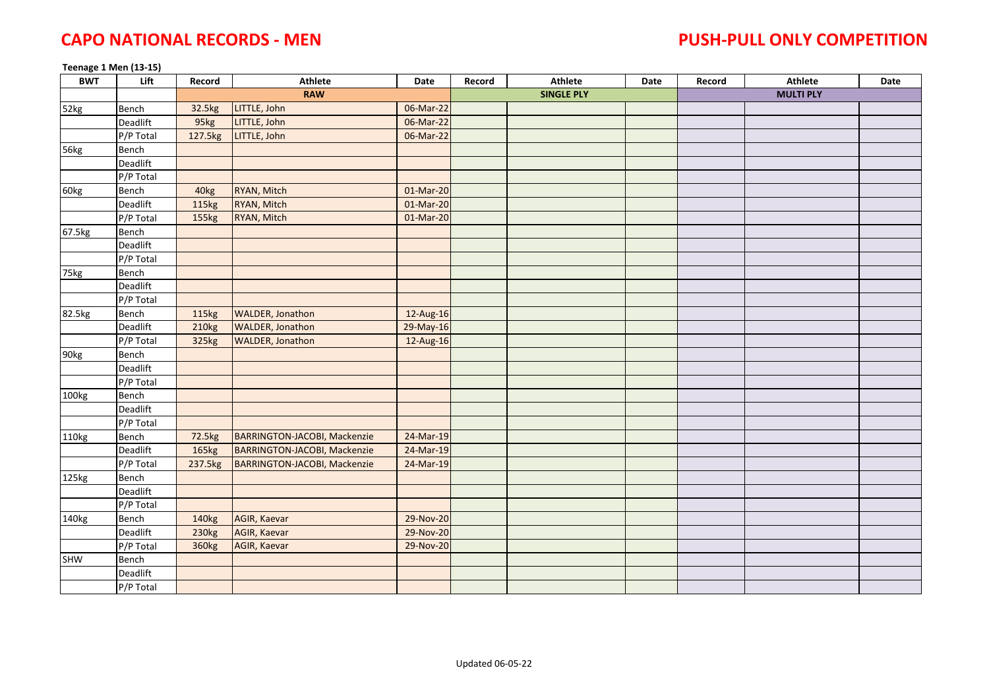**Teenage 1 Men (13-15)**

| <b>BWT</b> | Lift                   | Record            | <b>Athlete</b>                      | Date      | Record | Athlete           | Date | Record | Athlete          | Date |
|------------|------------------------|-------------------|-------------------------------------|-----------|--------|-------------------|------|--------|------------------|------|
|            |                        |                   | <b>RAW</b>                          |           |        | <b>SINGLE PLY</b> |      |        | <b>MULTI PLY</b> |      |
| 52kg       | Bench                  | 32.5kg            | LITTLE, John                        | 06-Mar-22 |        |                   |      |        |                  |      |
|            | Deadlift               | 95kg              | LITTLE, John                        | 06-Mar-22 |        |                   |      |        |                  |      |
|            | $P/P$ Total            | 127.5kg           | LITTLE, John                        | 06-Mar-22 |        |                   |      |        |                  |      |
| 56kg       | Bench                  |                   |                                     |           |        |                   |      |        |                  |      |
|            | Deadlift               |                   |                                     |           |        |                   |      |        |                  |      |
|            | P/P Total              |                   |                                     |           |        |                   |      |        |                  |      |
| 60kg       | Bench                  | 40kg              | RYAN, Mitch                         | 01-Mar-20 |        |                   |      |        |                  |      |
|            | Deadlift               | 115kg             | RYAN, Mitch                         | 01-Mar-20 |        |                   |      |        |                  |      |
|            | P/P Total              | 155kg             | RYAN, Mitch                         | 01-Mar-20 |        |                   |      |        |                  |      |
| 67.5kg     | <b>Bench</b>           |                   |                                     |           |        |                   |      |        |                  |      |
|            | Deadlift               |                   |                                     |           |        |                   |      |        |                  |      |
|            | P/P Total              |                   |                                     |           |        |                   |      |        |                  |      |
| 75kg       | Bench                  |                   |                                     |           |        |                   |      |        |                  |      |
|            | Deadlift               |                   |                                     |           |        |                   |      |        |                  |      |
|            | $\overline{P/P}$ Total |                   |                                     |           |        |                   |      |        |                  |      |
| 82.5kg     | Bench                  | 115kg             | <b>WALDER, Jonathon</b>             | 12-Aug-16 |        |                   |      |        |                  |      |
|            | Deadlift               | 210kg             | WALDER, Jonathon                    | 29-May-16 |        |                   |      |        |                  |      |
|            | P/P Total              | 325kg             | <b>WALDER, Jonathon</b>             | 12-Aug-16 |        |                   |      |        |                  |      |
| 90kg       | Bench                  |                   |                                     |           |        |                   |      |        |                  |      |
|            | Deadlift               |                   |                                     |           |        |                   |      |        |                  |      |
|            | P/P Total              |                   |                                     |           |        |                   |      |        |                  |      |
| 100kg      | Bench                  |                   |                                     |           |        |                   |      |        |                  |      |
|            | Deadlift               |                   |                                     |           |        |                   |      |        |                  |      |
|            | P/P Total              |                   |                                     |           |        |                   |      |        |                  |      |
| 110kg      | Bench                  | 72.5kg            | BARRINGTON-JACOBI, Mackenzie        | 24-Mar-19 |        |                   |      |        |                  |      |
|            | Deadlift               | 165kg             | BARRINGTON-JACOBI, Mackenzie        | 24-Mar-19 |        |                   |      |        |                  |      |
|            | P/P Total              | 237.5kg           | <b>BARRINGTON-JACOBI, Mackenzie</b> | 24-Mar-19 |        |                   |      |        |                  |      |
| 125kg      | Bench                  |                   |                                     |           |        |                   |      |        |                  |      |
|            | Deadlift               |                   |                                     |           |        |                   |      |        |                  |      |
|            | P/P Total              |                   |                                     |           |        |                   |      |        |                  |      |
| 140kg      | Bench                  | 140 <sub>kg</sub> | AGIR, Kaevar                        | 29-Nov-20 |        |                   |      |        |                  |      |
|            | Deadlift               | 230 <sub>kg</sub> | AGIR, Kaevar                        | 29-Nov-20 |        |                   |      |        |                  |      |
|            | P/P Total              | 360kg             | AGIR, Kaevar                        | 29-Nov-20 |        |                   |      |        |                  |      |
| SHW        | Bench                  |                   |                                     |           |        |                   |      |        |                  |      |
|            | Deadlift               |                   |                                     |           |        |                   |      |        |                  |      |
|            | P/P Total              |                   |                                     |           |        |                   |      |        |                  |      |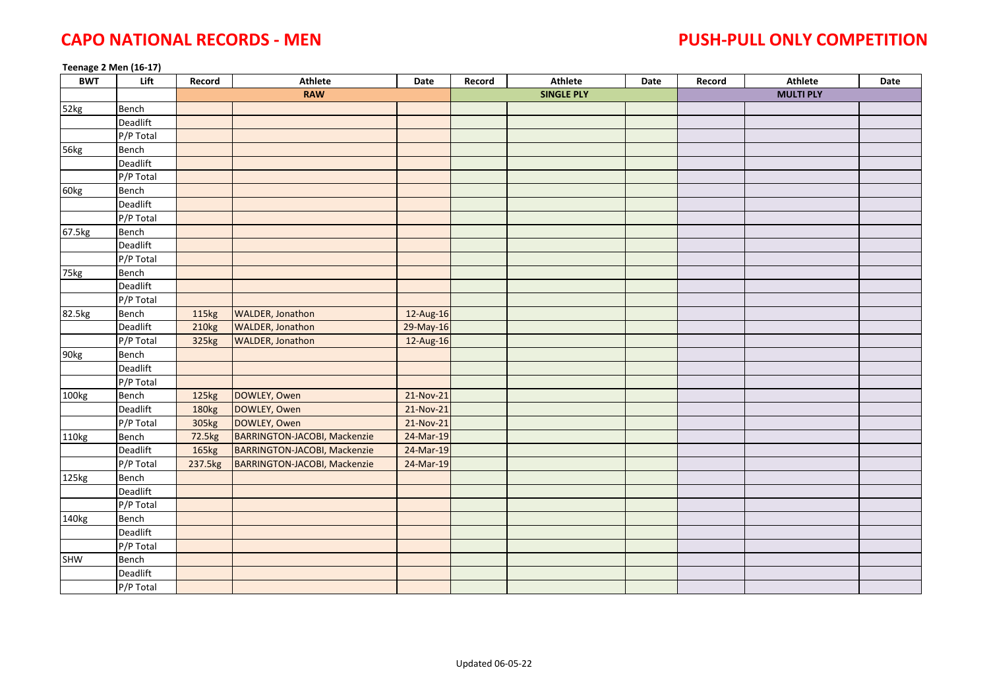**Teenage 2 Men (16-17)**

| <b>BWT</b> | Lift                   | Record  | Athlete                      | Date      | Record | Athlete           | Date | Record | <b>Athlete</b>   | Date |
|------------|------------------------|---------|------------------------------|-----------|--------|-------------------|------|--------|------------------|------|
|            |                        |         | <b>RAW</b>                   |           |        | <b>SINGLE PLY</b> |      |        | <b>MULTI PLY</b> |      |
| 52kg       | Bench                  |         |                              |           |        |                   |      |        |                  |      |
|            | Deadlift               |         |                              |           |        |                   |      |        |                  |      |
|            | P/P Total              |         |                              |           |        |                   |      |        |                  |      |
| 56kg       | Bench                  |         |                              |           |        |                   |      |        |                  |      |
|            | Deadlift               |         |                              |           |        |                   |      |        |                  |      |
|            | P/P Total              |         |                              |           |        |                   |      |        |                  |      |
| 60kg       | Bench                  |         |                              |           |        |                   |      |        |                  |      |
|            | Deadlift               |         |                              |           |        |                   |      |        |                  |      |
|            | P/P Total              |         |                              |           |        |                   |      |        |                  |      |
| 67.5kg     | Bench                  |         |                              |           |        |                   |      |        |                  |      |
|            | Deadlift               |         |                              |           |        |                   |      |        |                  |      |
|            | P/P Total              |         |                              |           |        |                   |      |        |                  |      |
| 75kg       | Bench                  |         |                              |           |        |                   |      |        |                  |      |
|            | Deadlift               |         |                              |           |        |                   |      |        |                  |      |
|            | P/P Total              |         |                              |           |        |                   |      |        |                  |      |
| 82.5kg     | Bench                  | 115kg   | <b>WALDER, Jonathon</b>      | 12-Aug-16 |        |                   |      |        |                  |      |
|            | Deadlift               | 210kg   | <b>WALDER, Jonathon</b>      | 29-May-16 |        |                   |      |        |                  |      |
|            | P/P Total              | 325kg   | <b>WALDER, Jonathon</b>      | 12-Aug-16 |        |                   |      |        |                  |      |
| 90kg       | Bench                  |         |                              |           |        |                   |      |        |                  |      |
|            | Deadlift               |         |                              |           |        |                   |      |        |                  |      |
|            | $\overline{P/P}$ Total |         |                              |           |        |                   |      |        |                  |      |
| 100kg      | Bench                  | 125kg   | DOWLEY, Owen                 | 21-Nov-21 |        |                   |      |        |                  |      |
|            | Deadlift               | 180kg   | DOWLEY, Owen                 | 21-Nov-21 |        |                   |      |        |                  |      |
|            | P/P Total              | 305kg   | DOWLEY, Owen                 | 21-Nov-21 |        |                   |      |        |                  |      |
| 110kg      | Bench                  | 72.5kg  | BARRINGTON-JACOBI, Mackenzie | 24-Mar-19 |        |                   |      |        |                  |      |
|            | Deadlift               | 165kg   | BARRINGTON-JACOBI, Mackenzie | 24-Mar-19 |        |                   |      |        |                  |      |
|            | P/P Total              | 237.5kg | BARRINGTON-JACOBI, Mackenzie | 24-Mar-19 |        |                   |      |        |                  |      |
| 125kg      | Bench                  |         |                              |           |        |                   |      |        |                  |      |
|            | Deadlift               |         |                              |           |        |                   |      |        |                  |      |
|            | P/P Total              |         |                              |           |        |                   |      |        |                  |      |
| 140kg      | Bench                  |         |                              |           |        |                   |      |        |                  |      |
|            | Deadlift               |         |                              |           |        |                   |      |        |                  |      |
|            | P/P Total              |         |                              |           |        |                   |      |        |                  |      |
| SHW        | Bench                  |         |                              |           |        |                   |      |        |                  |      |
|            | Deadlift               |         |                              |           |        |                   |      |        |                  |      |
|            | P/P Total              |         |                              |           |        |                   |      |        |                  |      |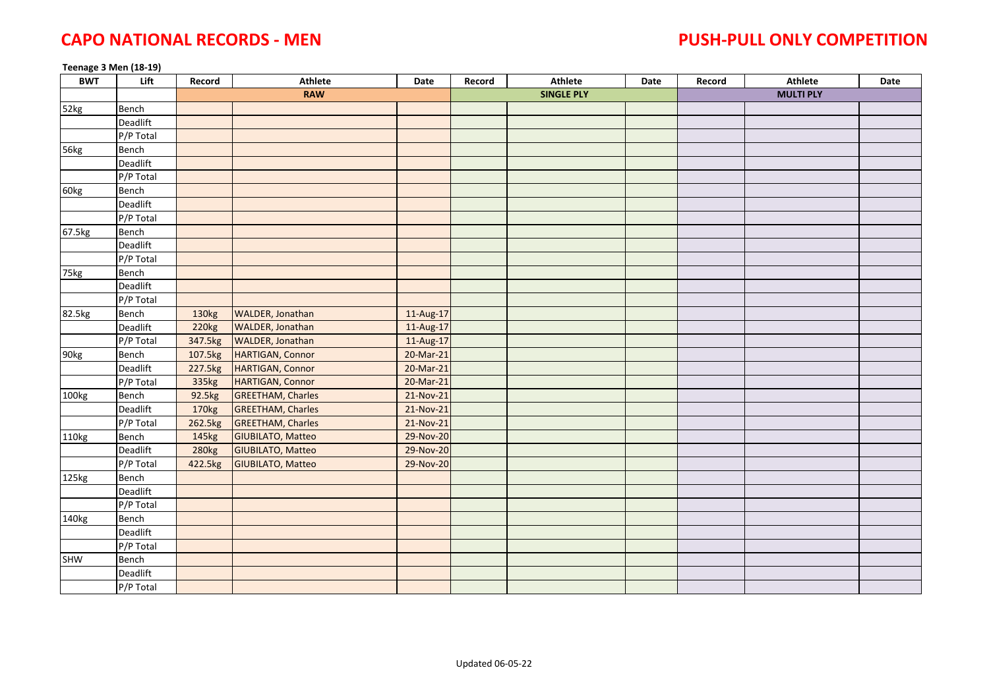**Teenage 3 Men (18-19)**

| <b>BWT</b> | Lift                   | Record            | Athlete                  | Date      | Record | Athlete           | Date | Record | <b>Athlete</b>   | Date |
|------------|------------------------|-------------------|--------------------------|-----------|--------|-------------------|------|--------|------------------|------|
|            |                        |                   | <b>RAW</b>               |           |        | <b>SINGLE PLY</b> |      |        | <b>MULTI PLY</b> |      |
| 52kg       | Bench                  |                   |                          |           |        |                   |      |        |                  |      |
|            | Deadlift               |                   |                          |           |        |                   |      |        |                  |      |
|            | P/P Total              |                   |                          |           |        |                   |      |        |                  |      |
| 56kg       | Bench                  |                   |                          |           |        |                   |      |        |                  |      |
|            | Deadlift               |                   |                          |           |        |                   |      |        |                  |      |
|            | $\overline{P/P}$ Total |                   |                          |           |        |                   |      |        |                  |      |
| 60kg       | Bench                  |                   |                          |           |        |                   |      |        |                  |      |
|            | Deadlift               |                   |                          |           |        |                   |      |        |                  |      |
|            | P/P Total              |                   |                          |           |        |                   |      |        |                  |      |
| 67.5kg     | Bench                  |                   |                          |           |        |                   |      |        |                  |      |
|            | Deadlift               |                   |                          |           |        |                   |      |        |                  |      |
|            | $\overline{P/P}$ Total |                   |                          |           |        |                   |      |        |                  |      |
| 75kg       | Bench                  |                   |                          |           |        |                   |      |        |                  |      |
|            | Deadlift               |                   |                          |           |        |                   |      |        |                  |      |
|            | P/P Total              |                   |                          |           |        |                   |      |        |                  |      |
| 82.5kg     | Bench                  | 130kg             | <b>WALDER, Jonathan</b>  | 11-Aug-17 |        |                   |      |        |                  |      |
|            | Deadlift               | 220 <sub>kg</sub> | <b>WALDER, Jonathan</b>  | 11-Aug-17 |        |                   |      |        |                  |      |
|            | P/P Total              | 347.5kg           | WALDER, Jonathan         | 11-Aug-17 |        |                   |      |        |                  |      |
| 90kg       | Bench                  | 107.5kg           | <b>HARTIGAN, Connor</b>  | 20-Mar-21 |        |                   |      |        |                  |      |
|            | Deadlift               | 227.5kg           | <b>HARTIGAN, Connor</b>  | 20-Mar-21 |        |                   |      |        |                  |      |
|            | $\overline{P}/P$ Total | 335kg             | <b>HARTIGAN, Connor</b>  | 20-Mar-21 |        |                   |      |        |                  |      |
| 100kg      | Bench                  | 92.5kg            | <b>GREETHAM, Charles</b> | 21-Nov-21 |        |                   |      |        |                  |      |
|            | Deadlift               | 170kg             | <b>GREETHAM, Charles</b> | 21-Nov-21 |        |                   |      |        |                  |      |
|            | P/P Total              | 262.5kg           | <b>GREETHAM, Charles</b> | 21-Nov-21 |        |                   |      |        |                  |      |
| 110kg      | Bench                  | 145kg             | <b>GIUBILATO, Matteo</b> | 29-Nov-20 |        |                   |      |        |                  |      |
|            | Deadlift               | 280 <sub>kg</sub> | <b>GIUBILATO, Matteo</b> | 29-Nov-20 |        |                   |      |        |                  |      |
|            | P/P Total              | 422.5kg           | <b>GIUBILATO, Matteo</b> | 29-Nov-20 |        |                   |      |        |                  |      |
| 125kg      | Bench                  |                   |                          |           |        |                   |      |        |                  |      |
|            | Deadlift               |                   |                          |           |        |                   |      |        |                  |      |
|            | P/P Total              |                   |                          |           |        |                   |      |        |                  |      |
| 140kg      | Bench                  |                   |                          |           |        |                   |      |        |                  |      |
|            | Deadlift               |                   |                          |           |        |                   |      |        |                  |      |
|            | P/P Total              |                   |                          |           |        |                   |      |        |                  |      |
| SHW        | Bench                  |                   |                          |           |        |                   |      |        |                  |      |
|            | Deadlift               |                   |                          |           |        |                   |      |        |                  |      |
|            | P/P Total              |                   |                          |           |        |                   |      |        |                  |      |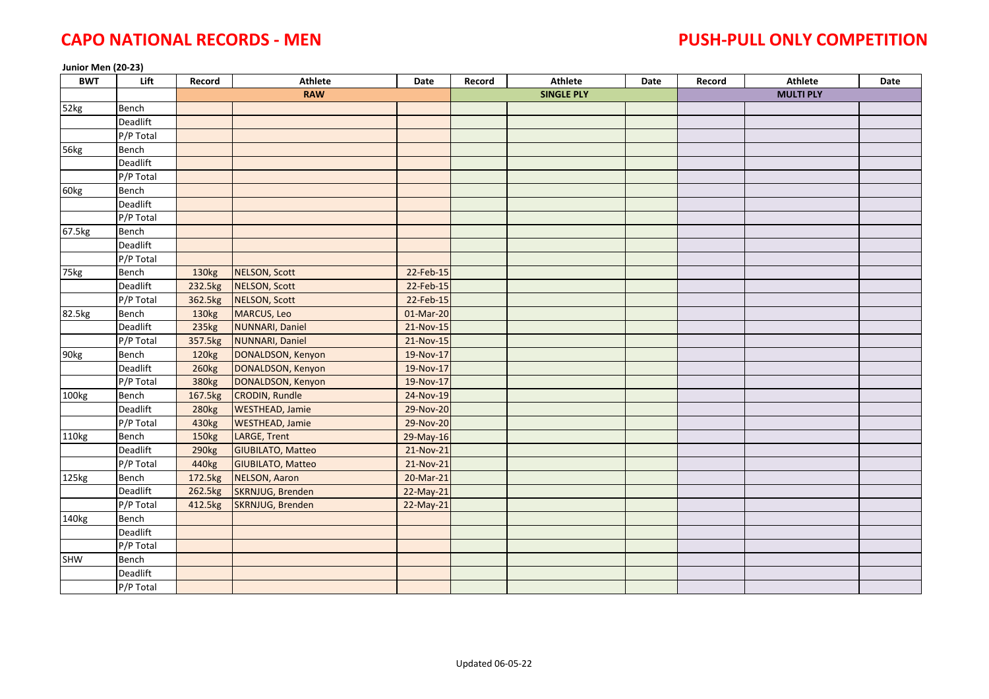**Junior Men (20-23)**

| <b>BWT</b>        | Lift      | Record            | <b>Athlete</b>           | Date      | Record | Athlete           | Date | Record | <b>Athlete</b>   | Date |
|-------------------|-----------|-------------------|--------------------------|-----------|--------|-------------------|------|--------|------------------|------|
|                   |           |                   | <b>RAW</b>               |           |        | <b>SINGLE PLY</b> |      |        | <b>MULTI PLY</b> |      |
| 52kg              | Bench     |                   |                          |           |        |                   |      |        |                  |      |
|                   | Deadlift  |                   |                          |           |        |                   |      |        |                  |      |
|                   | P/P Total |                   |                          |           |        |                   |      |        |                  |      |
| 56kg              | Bench     |                   |                          |           |        |                   |      |        |                  |      |
|                   | Deadlift  |                   |                          |           |        |                   |      |        |                  |      |
|                   | P/P Total |                   |                          |           |        |                   |      |        |                  |      |
| 60kg              | Bench     |                   |                          |           |        |                   |      |        |                  |      |
|                   | Deadlift  |                   |                          |           |        |                   |      |        |                  |      |
|                   | P/P Total |                   |                          |           |        |                   |      |        |                  |      |
| 67.5kg            | Bench     |                   |                          |           |        |                   |      |        |                  |      |
|                   | Deadlift  |                   |                          |           |        |                   |      |        |                  |      |
|                   | P/P Total |                   |                          |           |        |                   |      |        |                  |      |
| 75kg              | Bench     | 130kg             | <b>NELSON, Scott</b>     | 22-Feb-15 |        |                   |      |        |                  |      |
|                   | Deadlift  | 232.5kg           | <b>NELSON, Scott</b>     | 22-Feb-15 |        |                   |      |        |                  |      |
|                   | P/P Total | 362.5kg           | <b>NELSON, Scott</b>     | 22-Feb-15 |        |                   |      |        |                  |      |
| 82.5kg            | Bench     | 130kg             | MARCUS, Leo              | 01-Mar-20 |        |                   |      |        |                  |      |
|                   | Deadlift  | 235kg             | <b>NUNNARI</b> , Daniel  | 21-Nov-15 |        |                   |      |        |                  |      |
|                   | P/P Total | 357.5kg           | <b>NUNNARI</b> , Daniel  | 21-Nov-15 |        |                   |      |        |                  |      |
| 90kg              | Bench     | 120kg             | DONALDSON, Kenyon        | 19-Nov-17 |        |                   |      |        |                  |      |
|                   | Deadlift  | 260 <sub>kg</sub> | DONALDSON, Kenyon        | 19-Nov-17 |        |                   |      |        |                  |      |
|                   | P/P Total | 380kg             | DONALDSON, Kenyon        | 19-Nov-17 |        |                   |      |        |                  |      |
| 100kg             | Bench     | 167.5kg           | CRODIN, Rundle           | 24-Nov-19 |        |                   |      |        |                  |      |
|                   | Deadlift  | 280 <sub>kg</sub> | <b>WESTHEAD, Jamie</b>   | 29-Nov-20 |        |                   |      |        |                  |      |
|                   | P/P Total | 430 <sub>kg</sub> | <b>WESTHEAD, Jamie</b>   | 29-Nov-20 |        |                   |      |        |                  |      |
| 110kg             | Bench     | 150kg             | LARGE, Trent             | 29-May-16 |        |                   |      |        |                  |      |
|                   | Deadlift  | 290 <sub>kg</sub> | <b>GIUBILATO, Matteo</b> | 21-Nov-21 |        |                   |      |        |                  |      |
|                   | P/P Total | 440kg             | <b>GIUBILATO, Matteo</b> | 21-Nov-21 |        |                   |      |        |                  |      |
| 125kg             | Bench     | 172.5kg           | <b>NELSON, Aaron</b>     | 20-Mar-21 |        |                   |      |        |                  |      |
|                   | Deadlift  | 262.5kg           | SKRNJUG, Brenden         | 22-May-21 |        |                   |      |        |                  |      |
|                   | P/P Total | 412.5kg           | SKRNJUG, Brenden         | 22-May-21 |        |                   |      |        |                  |      |
| 140 <sub>kg</sub> | Bench     |                   |                          |           |        |                   |      |        |                  |      |
|                   | Deadlift  |                   |                          |           |        |                   |      |        |                  |      |
|                   | P/P Total |                   |                          |           |        |                   |      |        |                  |      |
| SHW               | Bench     |                   |                          |           |        |                   |      |        |                  |      |
|                   | Deadlift  |                   |                          |           |        |                   |      |        |                  |      |
|                   | P/P Total |                   |                          |           |        |                   |      |        |                  |      |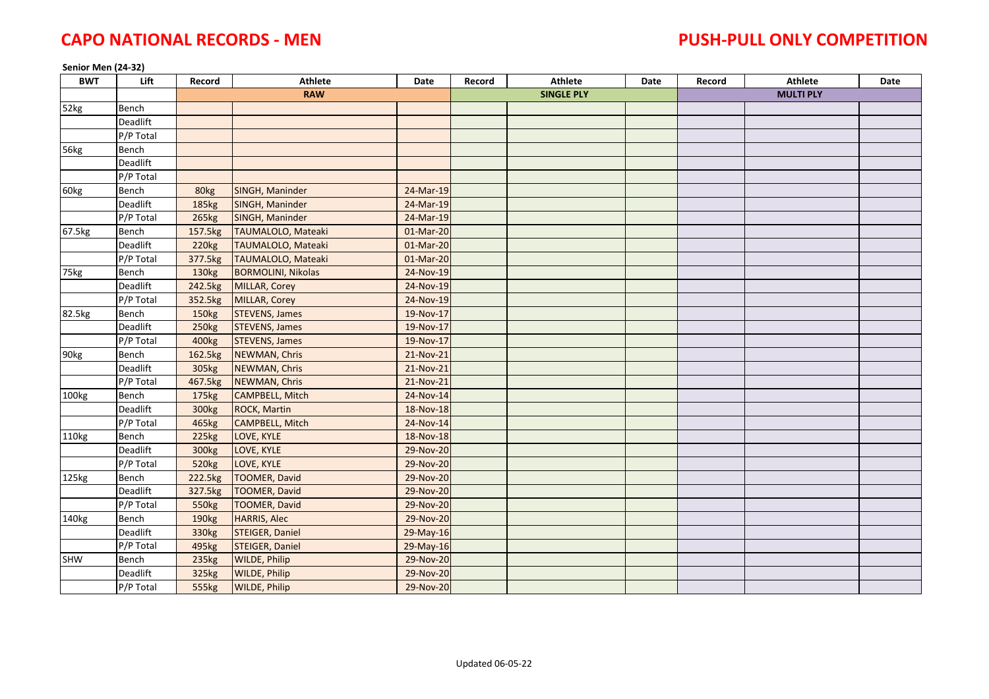**Senior Men (24-32)**

| <b>BWT</b> | Lift            | Record            | <b>Athlete</b>            | Date      | Record | <b>Athlete</b>    | Date | Record | <b>Athlete</b>   | Date |
|------------|-----------------|-------------------|---------------------------|-----------|--------|-------------------|------|--------|------------------|------|
|            |                 |                   | <b>RAW</b>                |           |        | <b>SINGLE PLY</b> |      |        | <b>MULTI PLY</b> |      |
| 52kg       | Bench           |                   |                           |           |        |                   |      |        |                  |      |
|            | Deadlift        |                   |                           |           |        |                   |      |        |                  |      |
|            | P/P Total       |                   |                           |           |        |                   |      |        |                  |      |
| 56kg       | Bench           |                   |                           |           |        |                   |      |        |                  |      |
|            | Deadlift        |                   |                           |           |        |                   |      |        |                  |      |
|            | P/P Total       |                   |                           |           |        |                   |      |        |                  |      |
| 60kg       | Bench           | 80kg              | SINGH, Maninder           | 24-Mar-19 |        |                   |      |        |                  |      |
|            | Deadlift        | 185kg             | SINGH, Maninder           | 24-Mar-19 |        |                   |      |        |                  |      |
|            | P/P Total       | 265kg             | SINGH, Maninder           | 24-Mar-19 |        |                   |      |        |                  |      |
| 67.5kg     | Bench           | 157.5kg           | TAUMALOLO, Mateaki        | 01-Mar-20 |        |                   |      |        |                  |      |
|            | <b>Deadlift</b> | 220 <sub>kg</sub> | TAUMALOLO, Mateaki        | 01-Mar-20 |        |                   |      |        |                  |      |
|            | P/P Total       | 377.5kg           | TAUMALOLO, Mateaki        | 01-Mar-20 |        |                   |      |        |                  |      |
| 75kg       | Bench           | 130kg             | <b>BORMOLINI, Nikolas</b> | 24-Nov-19 |        |                   |      |        |                  |      |
|            | Deadlift        | 242.5kg           | MILLAR, Corey             | 24-Nov-19 |        |                   |      |        |                  |      |
|            | P/P Total       | 352.5kg           | MILLAR, Corey             | 24-Nov-19 |        |                   |      |        |                  |      |
| 82.5kg     | Bench           | 150kg             | <b>STEVENS, James</b>     | 19-Nov-17 |        |                   |      |        |                  |      |
|            | Deadlift        | 250kg             | <b>STEVENS, James</b>     | 19-Nov-17 |        |                   |      |        |                  |      |
|            | P/P Total       | 400kg             | <b>STEVENS, James</b>     | 19-Nov-17 |        |                   |      |        |                  |      |
| 90kg       | Bench           | 162.5kg           | NEWMAN, Chris             | 21-Nov-21 |        |                   |      |        |                  |      |
|            | Deadlift        | 305kg             | NEWMAN, Chris             | 21-Nov-21 |        |                   |      |        |                  |      |
|            | P/P Total       | 467.5kg           | NEWMAN, Chris             | 21-Nov-21 |        |                   |      |        |                  |      |
| 100kg      | Bench           | 175kg             | <b>CAMPBELL, Mitch</b>    | 24-Nov-14 |        |                   |      |        |                  |      |
|            | Deadlift        | 300kg             | <b>ROCK, Martin</b>       | 18-Nov-18 |        |                   |      |        |                  |      |
|            | P/P Total       | 465kg             | <b>CAMPBELL, Mitch</b>    | 24-Nov-14 |        |                   |      |        |                  |      |
| 110kg      | Bench           | 225kg             | LOVE, KYLE                | 18-Nov-18 |        |                   |      |        |                  |      |
|            | Deadlift        | 300 <sub>kg</sub> | LOVE, KYLE                | 29-Nov-20 |        |                   |      |        |                  |      |
|            | P/P Total       | 520kg             | LOVE, KYLE                | 29-Nov-20 |        |                   |      |        |                  |      |
| 125kg      | Bench           | 222.5kg           | <b>TOOMER, David</b>      | 29-Nov-20 |        |                   |      |        |                  |      |
|            | Deadlift        | 327.5kg           | <b>TOOMER, David</b>      | 29-Nov-20 |        |                   |      |        |                  |      |
|            | P/P Total       | 550 <sub>kg</sub> | <b>TOOMER, David</b>      | 29-Nov-20 |        |                   |      |        |                  |      |
| 140kg      | Bench           | 190 <sub>kg</sub> | <b>HARRIS, Alec</b>       | 29-Nov-20 |        |                   |      |        |                  |      |
|            | <b>Deadlift</b> | 330 <sub>kg</sub> | <b>STEIGER, Daniel</b>    | 29-May-16 |        |                   |      |        |                  |      |
|            | P/P Total       | 495kg             | STEIGER, Daniel           | 29-May-16 |        |                   |      |        |                  |      |
| SHW        | Bench           | 235kg             | <b>WILDE, Philip</b>      | 29-Nov-20 |        |                   |      |        |                  |      |
|            | Deadlift        | 325kg             | <b>WILDE, Philip</b>      | 29-Nov-20 |        |                   |      |        |                  |      |
|            | P/P Total       | 555kg             | <b>WILDE, Philip</b>      | 29-Nov-20 |        |                   |      |        |                  |      |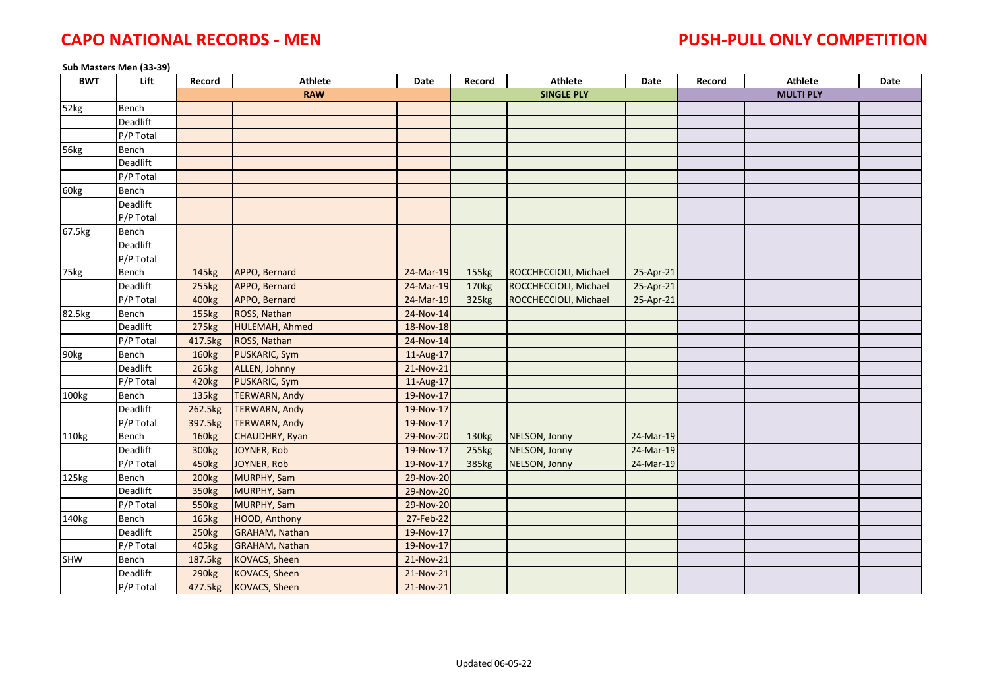#### **Sub Masters Men (33-39)**

| <b>BWT</b> | Lift      | Record            | <b>Athlete</b>        | Date      | Record            | <b>Athlete</b>        | Date      | Record | <b>Athlete</b>   | Date |
|------------|-----------|-------------------|-----------------------|-----------|-------------------|-----------------------|-----------|--------|------------------|------|
|            |           |                   | <b>RAW</b>            |           |                   | <b>SINGLE PLY</b>     |           |        | <b>MULTI PLY</b> |      |
| 52kg       | Bench     |                   |                       |           |                   |                       |           |        |                  |      |
|            | Deadlift  |                   |                       |           |                   |                       |           |        |                  |      |
|            | P/P Total |                   |                       |           |                   |                       |           |        |                  |      |
| 56kg       | Bench     |                   |                       |           |                   |                       |           |        |                  |      |
|            | Deadlift  |                   |                       |           |                   |                       |           |        |                  |      |
|            | P/P Total |                   |                       |           |                   |                       |           |        |                  |      |
| 60kg       | Bench     |                   |                       |           |                   |                       |           |        |                  |      |
|            | Deadlift  |                   |                       |           |                   |                       |           |        |                  |      |
|            | P/P Total |                   |                       |           |                   |                       |           |        |                  |      |
| 67.5kg     | Bench     |                   |                       |           |                   |                       |           |        |                  |      |
|            | Deadlift  |                   |                       |           |                   |                       |           |        |                  |      |
|            | P/P Total |                   |                       |           |                   |                       |           |        |                  |      |
| 75kg       | Bench     | 145 <sub>kg</sub> | APPO, Bernard         | 24-Mar-19 | 155kg             | ROCCHECCIOLI, Michael | 25-Apr-21 |        |                  |      |
|            | Deadlift  | 255kg             | APPO, Bernard         | 24-Mar-19 | 170 <sub>kg</sub> | ROCCHECCIOLI, Michael | 25-Apr-21 |        |                  |      |
|            | P/P Total | 400 <sub>kg</sub> | APPO, Bernard         | 24-Mar-19 | 325kg             | ROCCHECCIOLI, Michael | 25-Apr-21 |        |                  |      |
| 82.5kg     | Bench     | 155kg             | ROSS, Nathan          | 24-Nov-14 |                   |                       |           |        |                  |      |
|            | Deadlift  | 275kg             | HULEMAH, Ahmed        | 18-Nov-18 |                   |                       |           |        |                  |      |
|            | P/P Total | 417.5kg           | ROSS, Nathan          | 24-Nov-14 |                   |                       |           |        |                  |      |
| 90kg       | Bench     | 160kg             | <b>PUSKARIC, Sym</b>  | 11-Aug-17 |                   |                       |           |        |                  |      |
|            | Deadlift  | 265kg             | ALLEN, Johnny         | 21-Nov-21 |                   |                       |           |        |                  |      |
|            | P/P Total | 420 <sub>kg</sub> | <b>PUSKARIC, Sym</b>  | 11-Aug-17 |                   |                       |           |        |                  |      |
| 100kg      | Bench     | 135kg             | <b>TERWARN, Andy</b>  | 19-Nov-17 |                   |                       |           |        |                  |      |
|            | Deadlift  | 262.5kg           | <b>TERWARN, Andy</b>  | 19-Nov-17 |                   |                       |           |        |                  |      |
|            | P/P Total | 397.5kg           | <b>TERWARN, Andy</b>  | 19-Nov-17 |                   |                       |           |        |                  |      |
| 110kg      | Bench     | 160kg             | CHAUDHRY, Ryan        | 29-Nov-20 | 130 <sub>kg</sub> | NELSON, Jonny         | 24-Mar-19 |        |                  |      |
|            | Deadlift  | 300 <sub>kg</sub> | JOYNER, Rob           | 19-Nov-17 | 255kg             | NELSON, Jonny         | 24-Mar-19 |        |                  |      |
|            | P/P Total | 450kg             | JOYNER, Rob           | 19-Nov-17 | 385kg             | NELSON, Jonny         | 24-Mar-19 |        |                  |      |
| 125kg      | Bench     | 200 <sub>kg</sub> | MURPHY, Sam           | 29-Nov-20 |                   |                       |           |        |                  |      |
|            | Deadlift  | 350 <sub>kg</sub> | MURPHY, Sam           | 29-Nov-20 |                   |                       |           |        |                  |      |
|            | P/P Total | 550kg             | MURPHY, Sam           | 29-Nov-20 |                   |                       |           |        |                  |      |
| 140kg      | Bench     | 165kg             | HOOD, Anthony         | 27-Feb-22 |                   |                       |           |        |                  |      |
|            | Deadlift  | 250kg             | <b>GRAHAM, Nathan</b> | 19-Nov-17 |                   |                       |           |        |                  |      |
|            | P/P Total | 405kg             | <b>GRAHAM, Nathan</b> | 19-Nov-17 |                   |                       |           |        |                  |      |
| SHW        | Bench     | 187.5kg           | KOVACS, Sheen         | 21-Nov-21 |                   |                       |           |        |                  |      |
|            | Deadlift  | 290 <sub>kg</sub> | KOVACS, Sheen         | 21-Nov-21 |                   |                       |           |        |                  |      |
|            | P/P Total | 477.5kg           | KOVACS, Sheen         | 21-Nov-21 |                   |                       |           |        |                  |      |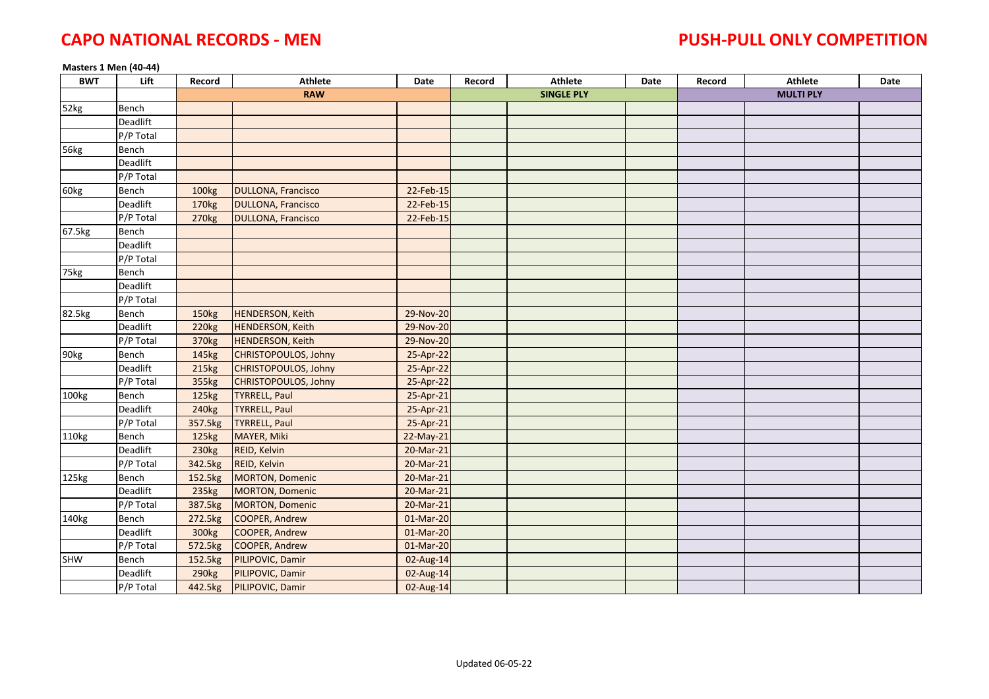### **Masters 1 Men (40-44)**

| <b>BWT</b> | Lift      | Record            | Athlete                   | Date      | Record | Athlete           | <b>Date</b> | Record | <b>Athlete</b>   | Date |
|------------|-----------|-------------------|---------------------------|-----------|--------|-------------------|-------------|--------|------------------|------|
|            |           |                   | <b>RAW</b>                |           |        | <b>SINGLE PLY</b> |             |        | <b>MULTI PLY</b> |      |
| 52kg       | Bench     |                   |                           |           |        |                   |             |        |                  |      |
|            | Deadlift  |                   |                           |           |        |                   |             |        |                  |      |
|            | P/P Total |                   |                           |           |        |                   |             |        |                  |      |
| 56kg       | Bench     |                   |                           |           |        |                   |             |        |                  |      |
|            | Deadlift  |                   |                           |           |        |                   |             |        |                  |      |
|            | P/P Total |                   |                           |           |        |                   |             |        |                  |      |
| 60kg       | Bench     | 100kg             | <b>DULLONA, Francisco</b> | 22-Feb-15 |        |                   |             |        |                  |      |
|            | Deadlift  | 170kg             | <b>DULLONA, Francisco</b> | 22-Feb-15 |        |                   |             |        |                  |      |
|            | P/P Total | 270 <sub>kg</sub> | <b>DULLONA, Francisco</b> | 22-Feb-15 |        |                   |             |        |                  |      |
| 67.5kg     | Bench     |                   |                           |           |        |                   |             |        |                  |      |
|            | Deadlift  |                   |                           |           |        |                   |             |        |                  |      |
|            | P/P Total |                   |                           |           |        |                   |             |        |                  |      |
| 75kg       | Bench     |                   |                           |           |        |                   |             |        |                  |      |
|            | Deadlift  |                   |                           |           |        |                   |             |        |                  |      |
|            | P/P Total |                   |                           |           |        |                   |             |        |                  |      |
| 82.5kg     | Bench     | 150kg             | <b>HENDERSON, Keith</b>   | 29-Nov-20 |        |                   |             |        |                  |      |
|            | Deadlift  | 220 <sub>kg</sub> | <b>HENDERSON, Keith</b>   | 29-Nov-20 |        |                   |             |        |                  |      |
|            | P/P Total | 370kg             | <b>HENDERSON, Keith</b>   | 29-Nov-20 |        |                   |             |        |                  |      |
| 90kg       | Bench     | 145kg             | CHRISTOPOULOS, Johny      | 25-Apr-22 |        |                   |             |        |                  |      |
|            | Deadlift  | 215kg             | CHRISTOPOULOS, Johny      | 25-Apr-22 |        |                   |             |        |                  |      |
|            | P/P Total | 355kg             | CHRISTOPOULOS, Johny      | 25-Apr-22 |        |                   |             |        |                  |      |
| 100kg      | Bench     | 125kg             | <b>TYRRELL, Paul</b>      | 25-Apr-21 |        |                   |             |        |                  |      |
|            | Deadlift  | 240 <sub>kg</sub> | <b>TYRRELL, Paul</b>      | 25-Apr-21 |        |                   |             |        |                  |      |
|            | P/P Total | 357.5kg           | <b>TYRRELL, Paul</b>      | 25-Apr-21 |        |                   |             |        |                  |      |
| 110kg      | Bench     | 125kg             | MAYER, Miki               | 22-May-21 |        |                   |             |        |                  |      |
|            | Deadlift  | 230 <sub>kg</sub> | REID, Kelvin              | 20-Mar-21 |        |                   |             |        |                  |      |
|            | P/P Total | 342.5kg           | <b>REID, Kelvin</b>       | 20-Mar-21 |        |                   |             |        |                  |      |
| 125kg      | Bench     | 152.5kg           | <b>MORTON, Domenic</b>    | 20-Mar-21 |        |                   |             |        |                  |      |
|            | Deadlift  | 235kg             | <b>MORTON, Domenic</b>    | 20-Mar-21 |        |                   |             |        |                  |      |
|            | P/P Total | 387.5kg           | <b>MORTON, Domenic</b>    | 20-Mar-21 |        |                   |             |        |                  |      |
| 140kg      | Bench     | 272.5kg           | <b>COOPER, Andrew</b>     | 01-Mar-20 |        |                   |             |        |                  |      |
|            | Deadlift  | 300 <sub>kg</sub> | <b>COOPER, Andrew</b>     | 01-Mar-20 |        |                   |             |        |                  |      |
|            | P/P Total | 572.5kg           | <b>COOPER, Andrew</b>     | 01-Mar-20 |        |                   |             |        |                  |      |
| SHW        | Bench     | 152.5kg           | PILIPOVIC, Damir          | 02-Aug-14 |        |                   |             |        |                  |      |
|            | Deadlift  | 290 <sub>kg</sub> | PILIPOVIC, Damir          | 02-Aug-14 |        |                   |             |        |                  |      |
|            | P/P Total | 442.5kg           | PILIPOVIC, Damir          | 02-Aug-14 |        |                   |             |        |                  |      |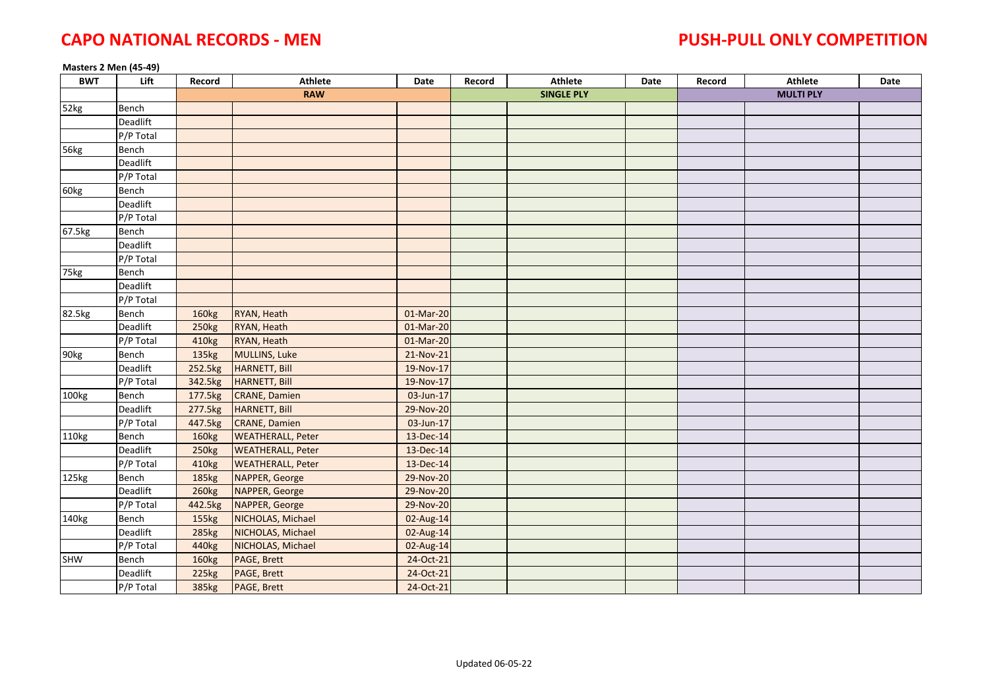### **Masters 2 Men (45-49)**

| <b>BWT</b> | Lift                   | Record            | Athlete                  | Date      | Record | Athlete           | Date | Record | Athlete          | Date |
|------------|------------------------|-------------------|--------------------------|-----------|--------|-------------------|------|--------|------------------|------|
|            |                        |                   | <b>RAW</b>               |           |        | <b>SINGLE PLY</b> |      |        | <b>MULTI PLY</b> |      |
| 52kg       | Bench                  |                   |                          |           |        |                   |      |        |                  |      |
|            | Deadlift               |                   |                          |           |        |                   |      |        |                  |      |
|            | P/P Total              |                   |                          |           |        |                   |      |        |                  |      |
| 56kg       | Bench                  |                   |                          |           |        |                   |      |        |                  |      |
|            | Deadlift               |                   |                          |           |        |                   |      |        |                  |      |
|            | P/P Total              |                   |                          |           |        |                   |      |        |                  |      |
| 60kg       | Bench                  |                   |                          |           |        |                   |      |        |                  |      |
|            | Deadlift               |                   |                          |           |        |                   |      |        |                  |      |
|            | P/P Total              |                   |                          |           |        |                   |      |        |                  |      |
| 67.5kg     | Bench                  |                   |                          |           |        |                   |      |        |                  |      |
|            | Deadlift               |                   |                          |           |        |                   |      |        |                  |      |
|            | P/P Total              |                   |                          |           |        |                   |      |        |                  |      |
| 75kg       | Bench                  |                   |                          |           |        |                   |      |        |                  |      |
|            | Deadlift               |                   |                          |           |        |                   |      |        |                  |      |
|            | P/P Total              |                   |                          |           |        |                   |      |        |                  |      |
| 82.5kg     | Bench                  | 160kg             | RYAN, Heath              | 01-Mar-20 |        |                   |      |        |                  |      |
|            | Deadlift               | 250 <sub>kg</sub> | RYAN, Heath              | 01-Mar-20 |        |                   |      |        |                  |      |
|            | $\overline{P/P}$ Total | 410kg             | RYAN, Heath              | 01-Mar-20 |        |                   |      |        |                  |      |
| 90kg       | Bench                  | 135kg             | MULLINS, Luke            | 21-Nov-21 |        |                   |      |        |                  |      |
|            | Deadlift               | 252.5kg           | HARNETT, Bill            | 19-Nov-17 |        |                   |      |        |                  |      |
|            | P/P Total              | 342.5kg           | HARNETT, Bill            | 19-Nov-17 |        |                   |      |        |                  |      |
| 100kg      | Bench                  | 177.5kg           | <b>CRANE, Damien</b>     | 03-Jun-17 |        |                   |      |        |                  |      |
|            | Deadlift               | 277.5kg           | HARNETT, Bill            | 29-Nov-20 |        |                   |      |        |                  |      |
|            | P/P Total              | 447.5kg           | <b>CRANE, Damien</b>     | 03-Jun-17 |        |                   |      |        |                  |      |
| 110kg      | Bench                  | 160kg             | <b>WEATHERALL, Peter</b> | 13-Dec-14 |        |                   |      |        |                  |      |
|            | Deadlift               | 250 <sub>kg</sub> | <b>WEATHERALL, Peter</b> | 13-Dec-14 |        |                   |      |        |                  |      |
|            | P/P Total              | 410kg             | <b>WEATHERALL, Peter</b> | 13-Dec-14 |        |                   |      |        |                  |      |
| 125kg      | Bench                  | 185kg             | NAPPER, George           | 29-Nov-20 |        |                   |      |        |                  |      |
|            | Deadlift               | 260 <sub>kg</sub> | NAPPER, George           | 29-Nov-20 |        |                   |      |        |                  |      |
|            | P/P Total              | 442.5kg           | NAPPER, George           | 29-Nov-20 |        |                   |      |        |                  |      |
| 140kg      | Bench                  | 155kg             | NICHOLAS, Michael        | 02-Aug-14 |        |                   |      |        |                  |      |
|            | Deadlift               | 285kg             | NICHOLAS, Michael        | 02-Aug-14 |        |                   |      |        |                  |      |
|            | P/P Total              | 440 <sub>kg</sub> | NICHOLAS, Michael        | 02-Aug-14 |        |                   |      |        |                  |      |
| SHW        | Bench                  | 160kg             | PAGE, Brett              | 24-Oct-21 |        |                   |      |        |                  |      |
|            | Deadlift               | 225kg             | PAGE, Brett              | 24-Oct-21 |        |                   |      |        |                  |      |
|            | $\overline{P/P}$ Total | 385kg             | PAGE, Brett              | 24-Oct-21 |        |                   |      |        |                  |      |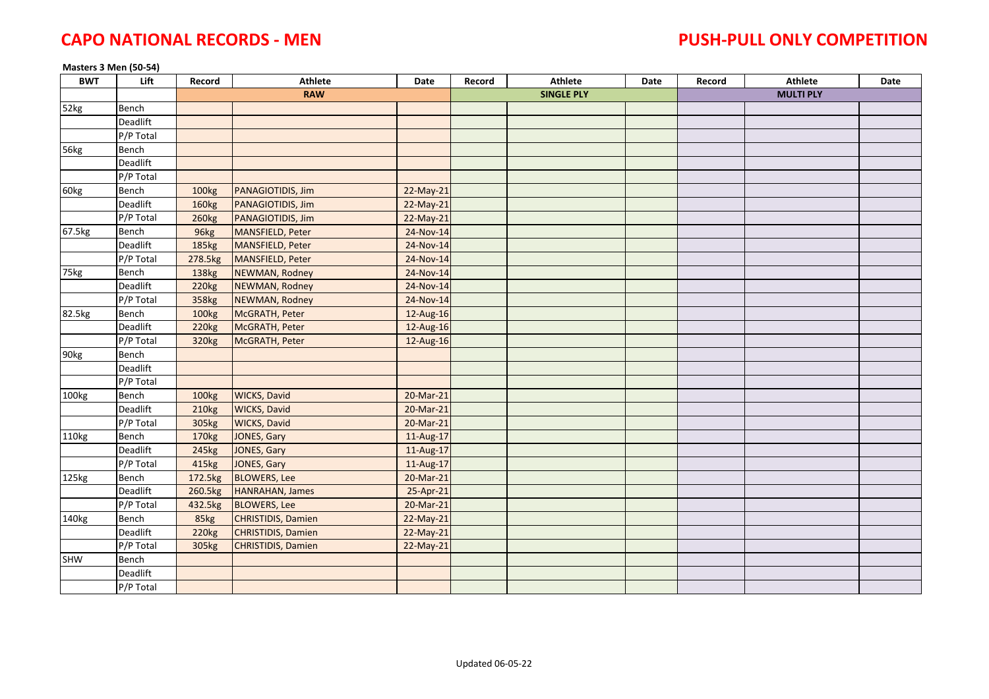### **Masters 3 Men (50-54)**

| <b>BWT</b> | Lift                   | Record            | <b>Athlete</b>            | Date      | Record | Athlete           | Date | Record | Athlete          | <b>Date</b> |
|------------|------------------------|-------------------|---------------------------|-----------|--------|-------------------|------|--------|------------------|-------------|
|            |                        |                   | <b>RAW</b>                |           |        | <b>SINGLE PLY</b> |      |        | <b>MULTI PLY</b> |             |
| 52kg       | Bench                  |                   |                           |           |        |                   |      |        |                  |             |
|            | Deadlift               |                   |                           |           |        |                   |      |        |                  |             |
|            | P/P Total              |                   |                           |           |        |                   |      |        |                  |             |
| 56kg       | <b>Bench</b>           |                   |                           |           |        |                   |      |        |                  |             |
|            | Deadlift               |                   |                           |           |        |                   |      |        |                  |             |
|            | P/P Total              |                   |                           |           |        |                   |      |        |                  |             |
| 60kg       | Bench                  | 100kg             | PANAGIOTIDIS, Jim         | 22-May-21 |        |                   |      |        |                  |             |
|            | Deadlift               | 160kg             | PANAGIOTIDIS, Jim         | 22-May-21 |        |                   |      |        |                  |             |
|            | P/P Total              | 260kg             | PANAGIOTIDIS, Jim         | 22-May-21 |        |                   |      |        |                  |             |
| 67.5kg     | Bench                  | 96kg              | <b>MANSFIELD, Peter</b>   | 24-Nov-14 |        |                   |      |        |                  |             |
|            | Deadlift               | 185kg             | <b>MANSFIELD, Peter</b>   | 24-Nov-14 |        |                   |      |        |                  |             |
|            | P/P Total              | 278.5kg           | <b>MANSFIELD, Peter</b>   | 24-Nov-14 |        |                   |      |        |                  |             |
| 75kg       | <b>Bench</b>           | 138kg             | NEWMAN, Rodney            | 24-Nov-14 |        |                   |      |        |                  |             |
|            | Deadlift               | 220 <sub>kg</sub> | <b>NEWMAN, Rodney</b>     | 24-Nov-14 |        |                   |      |        |                  |             |
|            | P/P Total              | 358kg             | NEWMAN, Rodney            | 24-Nov-14 |        |                   |      |        |                  |             |
| 82.5kg     | <b>Bench</b>           | 100kg             | McGRATH, Peter            | 12-Aug-16 |        |                   |      |        |                  |             |
|            | Deadlift               | 220 <sub>kg</sub> | McGRATH, Peter            | 12-Aug-16 |        |                   |      |        |                  |             |
|            | $\overline{P/P}$ Total | 320kg             | McGRATH, Peter            | 12-Aug-16 |        |                   |      |        |                  |             |
| 90kg       | Bench                  |                   |                           |           |        |                   |      |        |                  |             |
|            | Deadlift               |                   |                           |           |        |                   |      |        |                  |             |
|            | P/P Total              |                   |                           |           |        |                   |      |        |                  |             |
| 100kg      | Bench                  | 100kg             | <b>WICKS, David</b>       | 20-Mar-21 |        |                   |      |        |                  |             |
|            | Deadlift               | 210 <sub>kg</sub> | <b>WICKS, David</b>       | 20-Mar-21 |        |                   |      |        |                  |             |
|            | P/P Total              | 305kg             | <b>WICKS, David</b>       | 20-Mar-21 |        |                   |      |        |                  |             |
| 110kg      | Bench                  | 170 <sub>kg</sub> | JONES, Gary               | 11-Aug-17 |        |                   |      |        |                  |             |
|            | Deadlift               | 245kg             | JONES, Gary               | 11-Aug-17 |        |                   |      |        |                  |             |
|            | P/P Total              | 415kg             | JONES, Gary               | 11-Aug-17 |        |                   |      |        |                  |             |
| 125kg      | Bench                  | 172.5kg           | <b>BLOWERS, Lee</b>       | 20-Mar-21 |        |                   |      |        |                  |             |
|            | Deadlift               | 260.5kg           | <b>HANRAHAN, James</b>    | 25-Apr-21 |        |                   |      |        |                  |             |
|            | P/P Total              | 432.5kg           | <b>BLOWERS, Lee</b>       | 20-Mar-21 |        |                   |      |        |                  |             |
| 140kg      | Bench                  | 85kg              | <b>CHRISTIDIS, Damien</b> | 22-May-21 |        |                   |      |        |                  |             |
|            | Deadlift               | 220 <sub>kg</sub> | <b>CHRISTIDIS, Damien</b> | 22-May-21 |        |                   |      |        |                  |             |
|            | P/P Total              | 305kg             | <b>CHRISTIDIS, Damien</b> | 22-May-21 |        |                   |      |        |                  |             |
| SHW        | Bench                  |                   |                           |           |        |                   |      |        |                  |             |
|            | Deadlift               |                   |                           |           |        |                   |      |        |                  |             |
|            | $\overline{P/P}$ Total |                   |                           |           |        |                   |      |        |                  |             |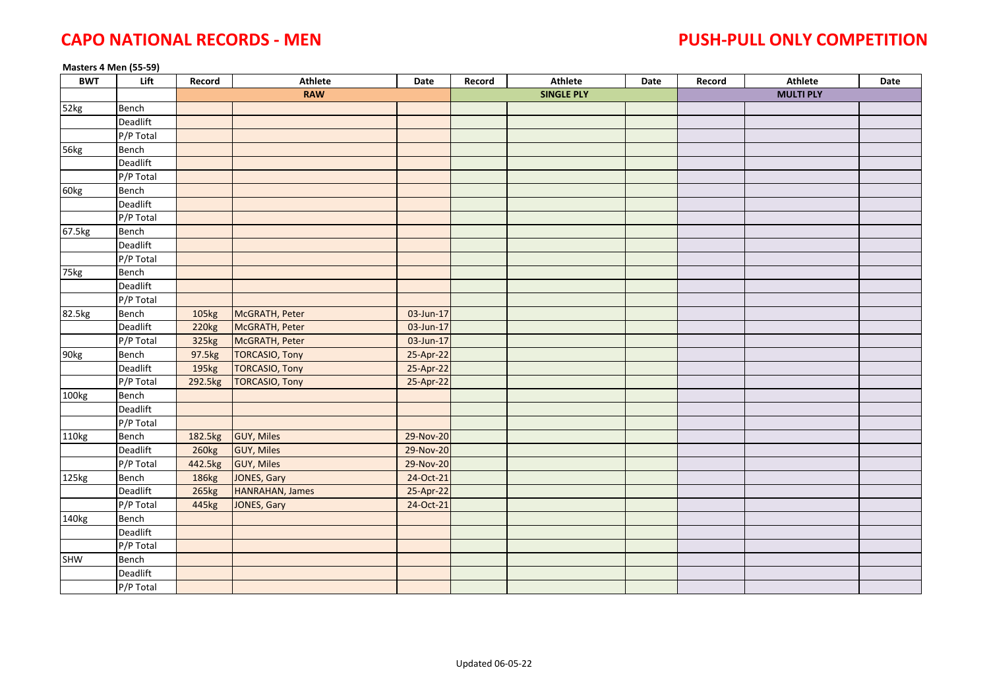### **Masters 4 Men (55-59)**

| <b>BWT</b> | Lift                   | Record            | <b>Athlete</b>         | Date      | Record | Athlete           | Date | Record | Athlete          | Date |
|------------|------------------------|-------------------|------------------------|-----------|--------|-------------------|------|--------|------------------|------|
|            |                        |                   | <b>RAW</b>             |           |        | <b>SINGLE PLY</b> |      |        | <b>MULTI PLY</b> |      |
| 52kg       | Bench                  |                   |                        |           |        |                   |      |        |                  |      |
|            | Deadlift               |                   |                        |           |        |                   |      |        |                  |      |
|            | P/P Total              |                   |                        |           |        |                   |      |        |                  |      |
| 56kg       | Bench                  |                   |                        |           |        |                   |      |        |                  |      |
|            | Deadlift               |                   |                        |           |        |                   |      |        |                  |      |
|            | $\overline{P/P}$ Total |                   |                        |           |        |                   |      |        |                  |      |
| 60kg       | Bench                  |                   |                        |           |        |                   |      |        |                  |      |
|            | Deadlift               |                   |                        |           |        |                   |      |        |                  |      |
|            | P/P Total              |                   |                        |           |        |                   |      |        |                  |      |
| 67.5kg     | Bench                  |                   |                        |           |        |                   |      |        |                  |      |
|            | Deadlift               |                   |                        |           |        |                   |      |        |                  |      |
|            | P/P Total              |                   |                        |           |        |                   |      |        |                  |      |
| 75kg       | Bench                  |                   |                        |           |        |                   |      |        |                  |      |
|            | Deadlift               |                   |                        |           |        |                   |      |        |                  |      |
|            | P/P Total              |                   |                        |           |        |                   |      |        |                  |      |
| 82.5kg     | Bench                  | 105kg             | McGRATH, Peter         | 03-Jun-17 |        |                   |      |        |                  |      |
|            | Deadlift               | 220 <sub>kg</sub> | McGRATH, Peter         | 03-Jun-17 |        |                   |      |        |                  |      |
|            | P/P Total              | 325kg             | McGRATH, Peter         | 03-Jun-17 |        |                   |      |        |                  |      |
| 90kg       | Bench                  | 97.5kg            | <b>TORCASIO, Tony</b>  | 25-Apr-22 |        |                   |      |        |                  |      |
|            | Deadlift               | 195kg             | <b>TORCASIO, Tony</b>  | 25-Apr-22 |        |                   |      |        |                  |      |
|            | P/P Total              | 292.5kg           | <b>TORCASIO, Tony</b>  | 25-Apr-22 |        |                   |      |        |                  |      |
| 100kg      | Bench                  |                   |                        |           |        |                   |      |        |                  |      |
|            | Deadlift               |                   |                        |           |        |                   |      |        |                  |      |
|            | P/P Total              |                   |                        |           |        |                   |      |        |                  |      |
| 110kg      | Bench                  | 182.5kg           | <b>GUY, Miles</b>      | 29-Nov-20 |        |                   |      |        |                  |      |
|            | Deadlift               | 260 <sub>kg</sub> | <b>GUY, Miles</b>      | 29-Nov-20 |        |                   |      |        |                  |      |
|            | P/P Total              | 442.5kg           | <b>GUY, Miles</b>      | 29-Nov-20 |        |                   |      |        |                  |      |
| 125kg      | Bench                  | 186kg             | JONES, Gary            | 24-Oct-21 |        |                   |      |        |                  |      |
|            | Deadlift               | 265kg             | <b>HANRAHAN, James</b> | 25-Apr-22 |        |                   |      |        |                  |      |
|            | P/P Total              | 445kg             | JONES, Gary            | 24-Oct-21 |        |                   |      |        |                  |      |
| 140kg      | Bench                  |                   |                        |           |        |                   |      |        |                  |      |
|            | Deadlift               |                   |                        |           |        |                   |      |        |                  |      |
|            | P/P Total              |                   |                        |           |        |                   |      |        |                  |      |
| SHW        | Bench                  |                   |                        |           |        |                   |      |        |                  |      |
|            | Deadlift               |                   |                        |           |        |                   |      |        |                  |      |
|            | P/P Total              |                   |                        |           |        |                   |      |        |                  |      |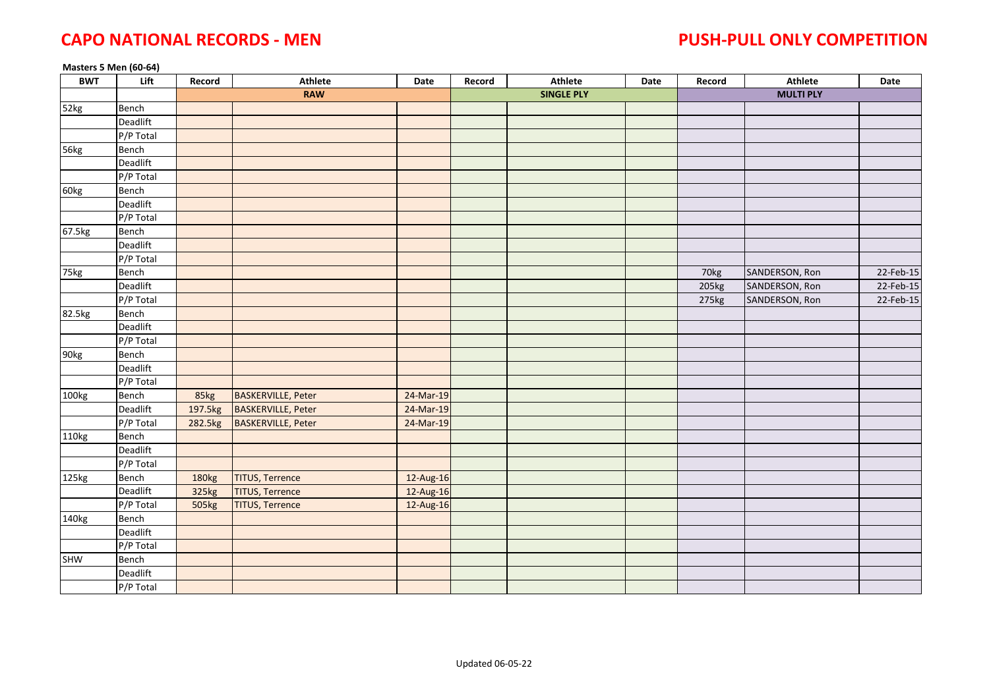### **Masters 5 Men (60-64)**

| <b>BWT</b>        | Lift                   | Record  | Athlete                   | Date      | Record | Athlete           | Date | Record | <b>Athlete</b>   | Date        |
|-------------------|------------------------|---------|---------------------------|-----------|--------|-------------------|------|--------|------------------|-------------|
|                   |                        |         | <b>RAW</b>                |           |        | <b>SINGLE PLY</b> |      |        | <b>MULTI PLY</b> |             |
| 52kg              | Bench                  |         |                           |           |        |                   |      |        |                  |             |
|                   | Deadlift               |         |                           |           |        |                   |      |        |                  |             |
|                   | P/P Total              |         |                           |           |        |                   |      |        |                  |             |
| 56kg              | Bench                  |         |                           |           |        |                   |      |        |                  |             |
|                   | Deadlift               |         |                           |           |        |                   |      |        |                  |             |
|                   | P/P Total              |         |                           |           |        |                   |      |        |                  |             |
| 60kg              | Bench                  |         |                           |           |        |                   |      |        |                  |             |
|                   | Deadlift               |         |                           |           |        |                   |      |        |                  |             |
|                   | P/P Total              |         |                           |           |        |                   |      |        |                  |             |
| 67.5kg            | Bench                  |         |                           |           |        |                   |      |        |                  |             |
|                   | Deadlift               |         |                           |           |        |                   |      |        |                  |             |
|                   | P/P Total              |         |                           |           |        |                   |      |        |                  |             |
| 75kg              | Bench                  |         |                           |           |        |                   |      | 70kg   | SANDERSON, Ron   | 22-Feb-15   |
|                   | Deadlift               |         |                           |           |        |                   |      | 205kg  | SANDERSON, Ron   | $22-Feb-15$ |
|                   | P/P Total              |         |                           |           |        |                   |      | 275kg  | SANDERSON, Ron   | 22-Feb-15   |
| 82.5kg            | Bench                  |         |                           |           |        |                   |      |        |                  |             |
|                   | Deadlift               |         |                           |           |        |                   |      |        |                  |             |
|                   | P/P Total              |         |                           |           |        |                   |      |        |                  |             |
| 90kg              | Bench                  |         |                           |           |        |                   |      |        |                  |             |
|                   | Deadlift               |         |                           |           |        |                   |      |        |                  |             |
|                   | $\overline{P/P}$ Total |         |                           |           |        |                   |      |        |                  |             |
| 100kg             | Bench                  | 85kg    | <b>BASKERVILLE, Peter</b> | 24-Mar-19 |        |                   |      |        |                  |             |
|                   | Deadlift               | 197.5kg | <b>BASKERVILLE, Peter</b> | 24-Mar-19 |        |                   |      |        |                  |             |
|                   | $\overline{P/P}$ Total | 282.5kg | <b>BASKERVILLE, Peter</b> | 24-Mar-19 |        |                   |      |        |                  |             |
| 110kg             | Bench                  |         |                           |           |        |                   |      |        |                  |             |
|                   | Deadlift               |         |                           |           |        |                   |      |        |                  |             |
|                   | P/P Total              |         |                           |           |        |                   |      |        |                  |             |
| 125kg             | Bench                  | 180kg   | <b>TITUS, Terrence</b>    | 12-Aug-16 |        |                   |      |        |                  |             |
|                   | Deadlift               | 325kg   | <b>TITUS, Terrence</b>    | 12-Aug-16 |        |                   |      |        |                  |             |
|                   | P/P Total              | 505kg   | <b>TITUS, Terrence</b>    | 12-Aug-16 |        |                   |      |        |                  |             |
| 140 <sub>kg</sub> | Bench                  |         |                           |           |        |                   |      |        |                  |             |
|                   | Deadlift               |         |                           |           |        |                   |      |        |                  |             |
|                   | P/P Total              |         |                           |           |        |                   |      |        |                  |             |
| SHW               | Bench                  |         |                           |           |        |                   |      |        |                  |             |
|                   | Deadlift               |         |                           |           |        |                   |      |        |                  |             |
|                   | P/P Total              |         |                           |           |        |                   |      |        |                  |             |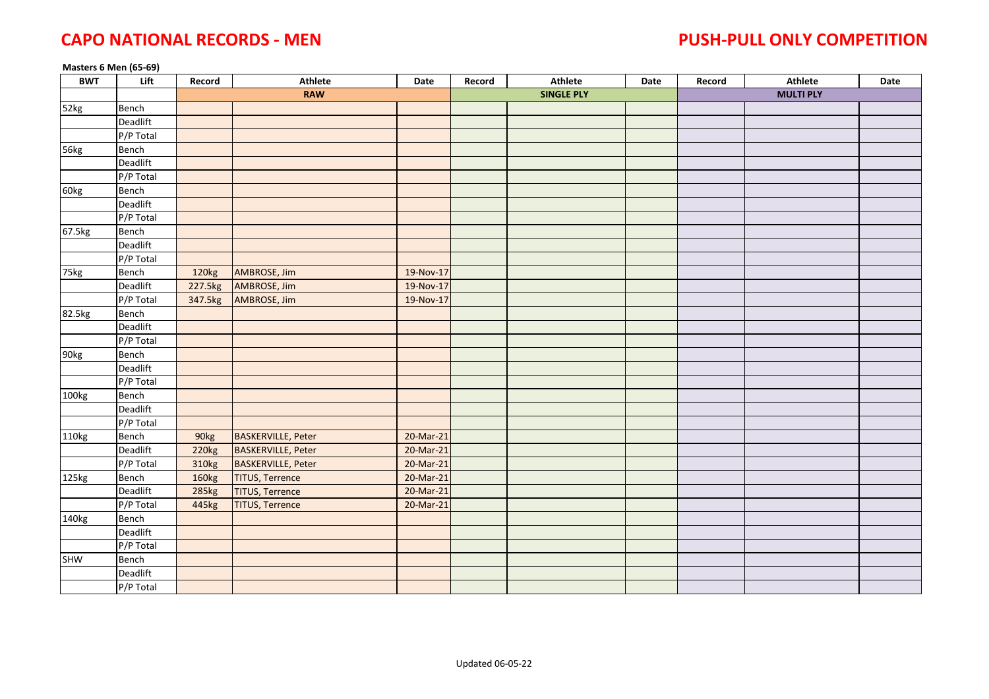### **Masters 6 Men (65-69)**

| <b>BWT</b>        | Lift                   | Record            | <b>Athlete</b>            | Date      | Record | Athlete           | Date | Record | <b>Athlete</b>   | Date |
|-------------------|------------------------|-------------------|---------------------------|-----------|--------|-------------------|------|--------|------------------|------|
|                   |                        |                   | <b>RAW</b>                |           |        | <b>SINGLE PLY</b> |      |        | <b>MULTI PLY</b> |      |
| 52kg              | Bench                  |                   |                           |           |        |                   |      |        |                  |      |
|                   | Deadlift               |                   |                           |           |        |                   |      |        |                  |      |
|                   | P/P Total              |                   |                           |           |        |                   |      |        |                  |      |
| 56kg              | Bench                  |                   |                           |           |        |                   |      |        |                  |      |
|                   | Deadlift               |                   |                           |           |        |                   |      |        |                  |      |
|                   | P/P Total              |                   |                           |           |        |                   |      |        |                  |      |
| 60kg              | Bench                  |                   |                           |           |        |                   |      |        |                  |      |
|                   | Deadlift               |                   |                           |           |        |                   |      |        |                  |      |
|                   | P/P Total              |                   |                           |           |        |                   |      |        |                  |      |
| 67.5kg            | Bench                  |                   |                           |           |        |                   |      |        |                  |      |
|                   | Deadlift               |                   |                           |           |        |                   |      |        |                  |      |
|                   | P/P Total              |                   |                           |           |        |                   |      |        |                  |      |
| 75kg              | Bench                  | 120kg             | AMBROSE, Jim              | 19-Nov-17 |        |                   |      |        |                  |      |
|                   | Deadlift               | 227.5kg           | AMBROSE, Jim              | 19-Nov-17 |        |                   |      |        |                  |      |
|                   | P/P Total              | 347.5kg           | AMBROSE, Jim              | 19-Nov-17 |        |                   |      |        |                  |      |
| 82.5kg            | Bench                  |                   |                           |           |        |                   |      |        |                  |      |
|                   | Deadlift               |                   |                           |           |        |                   |      |        |                  |      |
|                   | P/P Total              |                   |                           |           |        |                   |      |        |                  |      |
| 90kg              | Bench                  |                   |                           |           |        |                   |      |        |                  |      |
|                   | Deadlift               |                   |                           |           |        |                   |      |        |                  |      |
|                   | P/P Total              |                   |                           |           |        |                   |      |        |                  |      |
| 100kg             | Bench                  |                   |                           |           |        |                   |      |        |                  |      |
|                   | Deadlift               |                   |                           |           |        |                   |      |        |                  |      |
|                   | $\overline{P/P}$ Total |                   |                           |           |        |                   |      |        |                  |      |
| 110kg             | Bench                  | 90kg              | <b>BASKERVILLE, Peter</b> | 20-Mar-21 |        |                   |      |        |                  |      |
|                   | Deadlift               | 220 <sub>kg</sub> | <b>BASKERVILLE, Peter</b> | 20-Mar-21 |        |                   |      |        |                  |      |
|                   | P/P Total              | 310kg             | <b>BASKERVILLE, Peter</b> | 20-Mar-21 |        |                   |      |        |                  |      |
| 125kg             | Bench                  | 160kg             | <b>TITUS, Terrence</b>    | 20-Mar-21 |        |                   |      |        |                  |      |
|                   | Deadlift               | 285kg             | <b>TITUS, Terrence</b>    | 20-Mar-21 |        |                   |      |        |                  |      |
|                   | P/P Total              | 445kg             | <b>TITUS, Terrence</b>    | 20-Mar-21 |        |                   |      |        |                  |      |
| 140 <sub>kg</sub> | Bench                  |                   |                           |           |        |                   |      |        |                  |      |
|                   | Deadlift               |                   |                           |           |        |                   |      |        |                  |      |
|                   | P/P Total              |                   |                           |           |        |                   |      |        |                  |      |
| SHW               | Bench                  |                   |                           |           |        |                   |      |        |                  |      |
|                   | Deadlift               |                   |                           |           |        |                   |      |        |                  |      |
|                   | P/P Total              |                   |                           |           |        |                   |      |        |                  |      |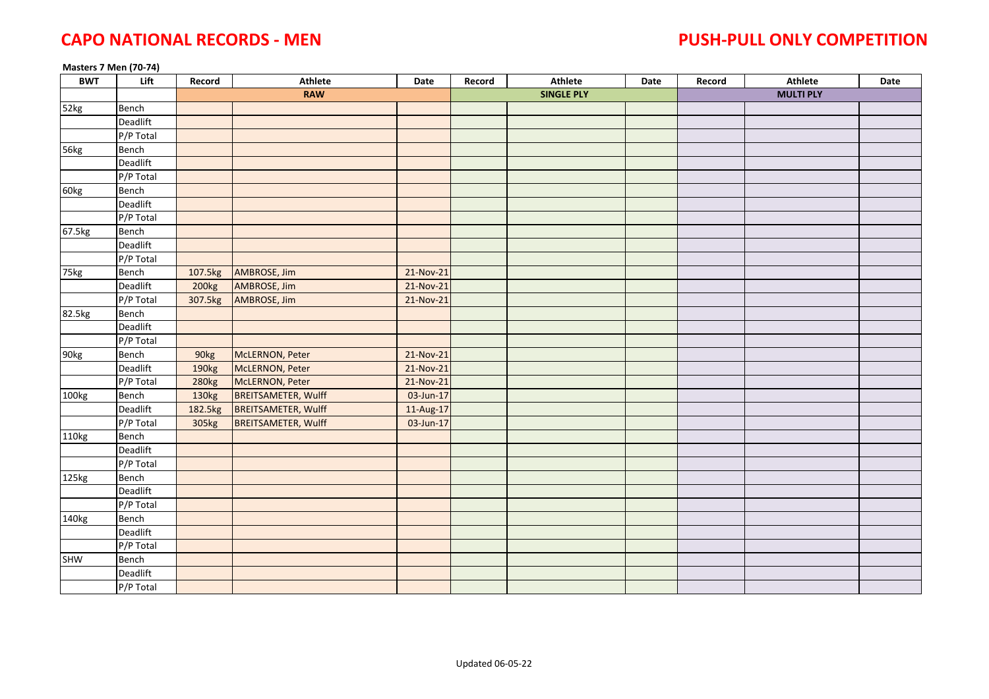### **Masters 7 Men (70-74)**

| <b>BWT</b> | Lift      | Record            | <b>Athlete</b>             | Date      | Record | Athlete           | Date | Record | Athlete          | Date |
|------------|-----------|-------------------|----------------------------|-----------|--------|-------------------|------|--------|------------------|------|
|            |           |                   | <b>RAW</b>                 |           |        | <b>SINGLE PLY</b> |      |        | <b>MULTI PLY</b> |      |
| 52kg       | Bench     |                   |                            |           |        |                   |      |        |                  |      |
|            | Deadlift  |                   |                            |           |        |                   |      |        |                  |      |
|            | P/P Total |                   |                            |           |        |                   |      |        |                  |      |
| 56kg       | Bench     |                   |                            |           |        |                   |      |        |                  |      |
|            | Deadlift  |                   |                            |           |        |                   |      |        |                  |      |
|            | P/P Total |                   |                            |           |        |                   |      |        |                  |      |
| 60kg       | Bench     |                   |                            |           |        |                   |      |        |                  |      |
|            | Deadlift  |                   |                            |           |        |                   |      |        |                  |      |
|            | P/P Total |                   |                            |           |        |                   |      |        |                  |      |
| 67.5kg     | Bench     |                   |                            |           |        |                   |      |        |                  |      |
|            | Deadlift  |                   |                            |           |        |                   |      |        |                  |      |
|            | P/P Total |                   |                            |           |        |                   |      |        |                  |      |
| 75kg       | Bench     | 107.5kg           | AMBROSE, Jim               | 21-Nov-21 |        |                   |      |        |                  |      |
|            | Deadlift  | 200 <sub>kg</sub> | AMBROSE, Jim               | 21-Nov-21 |        |                   |      |        |                  |      |
|            | P/P Total | 307.5kg           | AMBROSE, Jim               | 21-Nov-21 |        |                   |      |        |                  |      |
| 82.5kg     | Bench     |                   |                            |           |        |                   |      |        |                  |      |
|            | Deadlift  |                   |                            |           |        |                   |      |        |                  |      |
|            | P/P Total |                   |                            |           |        |                   |      |        |                  |      |
| 90kg       | Bench     | 90kg              | McLERNON, Peter            | 21-Nov-21 |        |                   |      |        |                  |      |
|            | Deadlift  | 190kg             | McLERNON, Peter            | 21-Nov-21 |        |                   |      |        |                  |      |
|            | P/P Total | 280kg             | McLERNON, Peter            | 21-Nov-21 |        |                   |      |        |                  |      |
| 100kg      | Bench     | 130kg             | <b>BREITSAMETER, Wulff</b> | 03-Jun-17 |        |                   |      |        |                  |      |
|            | Deadlift  | 182.5kg           | <b>BREITSAMETER, Wulff</b> | 11-Aug-17 |        |                   |      |        |                  |      |
|            | P/P Total | 305kg             | <b>BREITSAMETER, Wulff</b> | 03-Jun-17 |        |                   |      |        |                  |      |
| 110kg      | Bench     |                   |                            |           |        |                   |      |        |                  |      |
|            | Deadlift  |                   |                            |           |        |                   |      |        |                  |      |
|            | P/P Total |                   |                            |           |        |                   |      |        |                  |      |
| 125kg      | Bench     |                   |                            |           |        |                   |      |        |                  |      |
|            | Deadlift  |                   |                            |           |        |                   |      |        |                  |      |
|            | P/P Total |                   |                            |           |        |                   |      |        |                  |      |
| 140kg      | Bench     |                   |                            |           |        |                   |      |        |                  |      |
|            | Deadlift  |                   |                            |           |        |                   |      |        |                  |      |
|            | P/P Total |                   |                            |           |        |                   |      |        |                  |      |
| SHW        | Bench     |                   |                            |           |        |                   |      |        |                  |      |
|            | Deadlift  |                   |                            |           |        |                   |      |        |                  |      |
|            | P/P Total |                   |                            |           |        |                   |      |        |                  |      |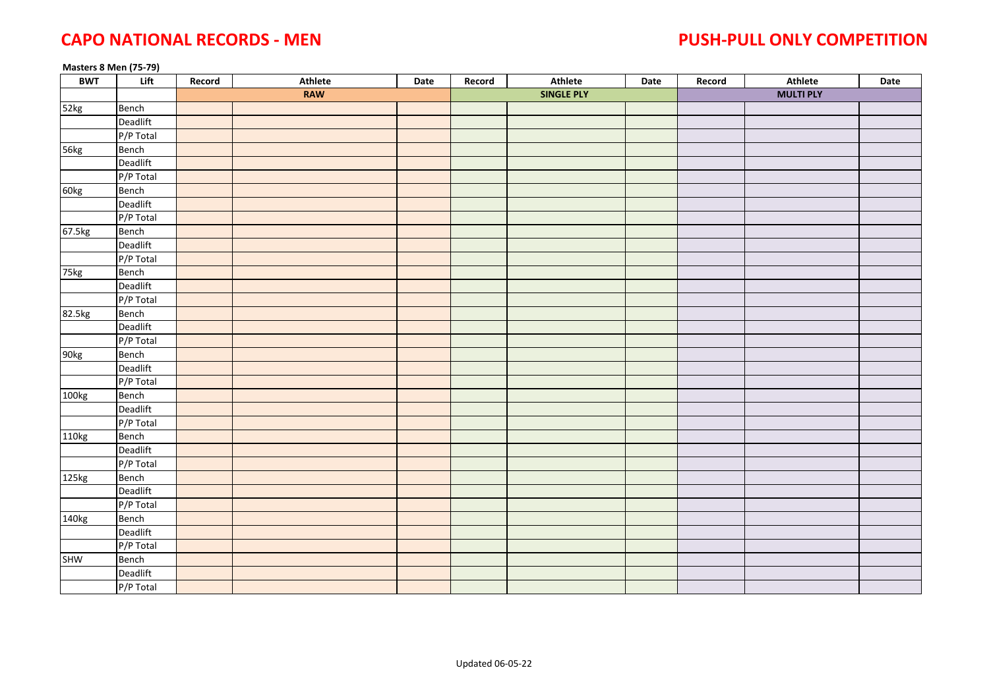### **Masters 8 Men (75-79)**

| <b>BWT</b> | Lift      | Record | Athlete    | Date | Record | Athlete           | Date | Record | Athlete          | Date |
|------------|-----------|--------|------------|------|--------|-------------------|------|--------|------------------|------|
|            |           |        | <b>RAW</b> |      |        | <b>SINGLE PLY</b> |      |        | <b>MULTI PLY</b> |      |
| 52kg       | Bench     |        |            |      |        |                   |      |        |                  |      |
|            | Deadlift  |        |            |      |        |                   |      |        |                  |      |
|            | P/P Total |        |            |      |        |                   |      |        |                  |      |
| 56kg       | Bench     |        |            |      |        |                   |      |        |                  |      |
|            | Deadlift  |        |            |      |        |                   |      |        |                  |      |
|            | P/P Total |        |            |      |        |                   |      |        |                  |      |
| 60kg       | Bench     |        |            |      |        |                   |      |        |                  |      |
|            | Deadlift  |        |            |      |        |                   |      |        |                  |      |
|            | P/P Total |        |            |      |        |                   |      |        |                  |      |
| 67.5kg     | Bench     |        |            |      |        |                   |      |        |                  |      |
|            | Deadlift  |        |            |      |        |                   |      |        |                  |      |
|            | P/P Total |        |            |      |        |                   |      |        |                  |      |
| 75kg       | Bench     |        |            |      |        |                   |      |        |                  |      |
|            | Deadlift  |        |            |      |        |                   |      |        |                  |      |
|            | P/P Total |        |            |      |        |                   |      |        |                  |      |
| 82.5kg     | Bench     |        |            |      |        |                   |      |        |                  |      |
|            | Deadlift  |        |            |      |        |                   |      |        |                  |      |
|            | P/P Total |        |            |      |        |                   |      |        |                  |      |
| 90kg       | Bench     |        |            |      |        |                   |      |        |                  |      |
|            | Deadlift  |        |            |      |        |                   |      |        |                  |      |
|            | P/P Total |        |            |      |        |                   |      |        |                  |      |
| 100kg      | Bench     |        |            |      |        |                   |      |        |                  |      |
|            | Deadlift  |        |            |      |        |                   |      |        |                  |      |
|            | P/P Total |        |            |      |        |                   |      |        |                  |      |
| 110kg      | Bench     |        |            |      |        |                   |      |        |                  |      |
|            | Deadlift  |        |            |      |        |                   |      |        |                  |      |
|            | P/P Total |        |            |      |        |                   |      |        |                  |      |
| 125kg      | Bench     |        |            |      |        |                   |      |        |                  |      |
|            | Deadlift  |        |            |      |        |                   |      |        |                  |      |
|            | P/P Total |        |            |      |        |                   |      |        |                  |      |
| 140kg      | Bench     |        |            |      |        |                   |      |        |                  |      |
|            | Deadlift  |        |            |      |        |                   |      |        |                  |      |
|            | P/P Total |        |            |      |        |                   |      |        |                  |      |
| SHW        | Bench     |        |            |      |        |                   |      |        |                  |      |
|            | Deadlift  |        |            |      |        |                   |      |        |                  |      |
|            | P/P Total |        |            |      |        |                   |      |        |                  |      |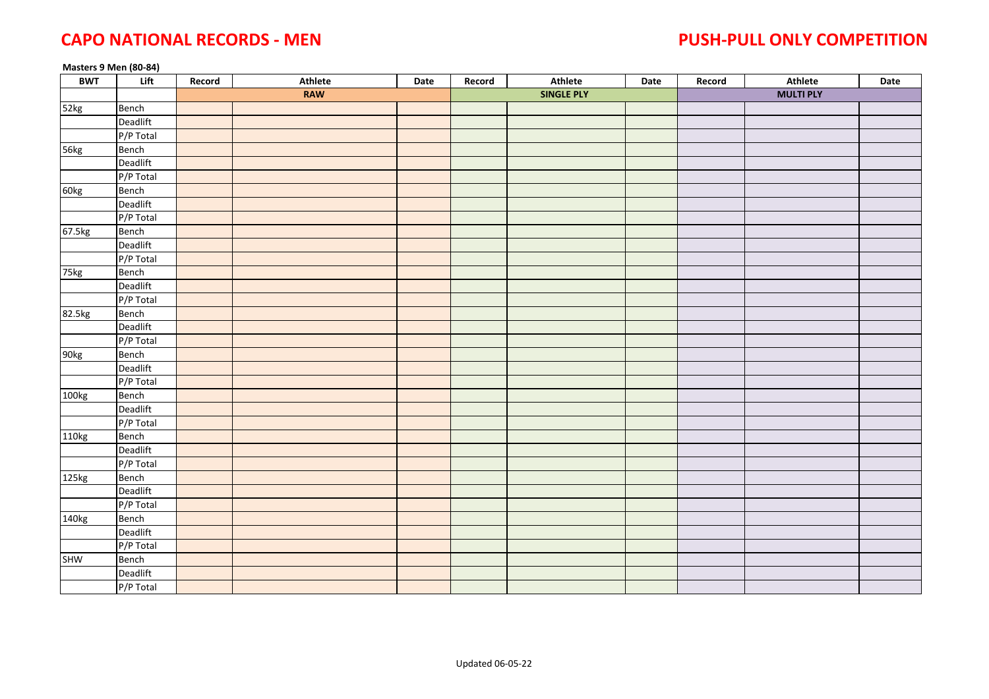### **Masters 9 Men (80-84)**

| <b>BWT</b> | Lift      | Record | Athlete    | Date | Record | Athlete           | Date | Record | Athlete          | Date |
|------------|-----------|--------|------------|------|--------|-------------------|------|--------|------------------|------|
|            |           |        | <b>RAW</b> |      |        | <b>SINGLE PLY</b> |      |        | <b>MULTI PLY</b> |      |
| 52kg       | Bench     |        |            |      |        |                   |      |        |                  |      |
|            | Deadlift  |        |            |      |        |                   |      |        |                  |      |
|            | P/P Total |        |            |      |        |                   |      |        |                  |      |
| 56kg       | Bench     |        |            |      |        |                   |      |        |                  |      |
|            | Deadlift  |        |            |      |        |                   |      |        |                  |      |
|            | P/P Total |        |            |      |        |                   |      |        |                  |      |
| 60kg       | Bench     |        |            |      |        |                   |      |        |                  |      |
|            | Deadlift  |        |            |      |        |                   |      |        |                  |      |
|            | P/P Total |        |            |      |        |                   |      |        |                  |      |
| 67.5kg     | Bench     |        |            |      |        |                   |      |        |                  |      |
|            | Deadlift  |        |            |      |        |                   |      |        |                  |      |
|            | P/P Total |        |            |      |        |                   |      |        |                  |      |
| 75kg       | Bench     |        |            |      |        |                   |      |        |                  |      |
|            | Deadlift  |        |            |      |        |                   |      |        |                  |      |
|            | P/P Total |        |            |      |        |                   |      |        |                  |      |
| 82.5kg     | Bench     |        |            |      |        |                   |      |        |                  |      |
|            | Deadlift  |        |            |      |        |                   |      |        |                  |      |
|            | P/P Total |        |            |      |        |                   |      |        |                  |      |
| 90kg       | Bench     |        |            |      |        |                   |      |        |                  |      |
|            | Deadlift  |        |            |      |        |                   |      |        |                  |      |
|            | P/P Total |        |            |      |        |                   |      |        |                  |      |
| 100kg      | Bench     |        |            |      |        |                   |      |        |                  |      |
|            | Deadlift  |        |            |      |        |                   |      |        |                  |      |
|            | P/P Total |        |            |      |        |                   |      |        |                  |      |
| 110kg      | Bench     |        |            |      |        |                   |      |        |                  |      |
|            | Deadlift  |        |            |      |        |                   |      |        |                  |      |
|            | P/P Total |        |            |      |        |                   |      |        |                  |      |
| 125kg      | Bench     |        |            |      |        |                   |      |        |                  |      |
|            | Deadlift  |        |            |      |        |                   |      |        |                  |      |
|            | P/P Total |        |            |      |        |                   |      |        |                  |      |
| 140kg      | Bench     |        |            |      |        |                   |      |        |                  |      |
|            | Deadlift  |        |            |      |        |                   |      |        |                  |      |
|            | P/P Total |        |            |      |        |                   |      |        |                  |      |
| <b>SHW</b> | Bench     |        |            |      |        |                   |      |        |                  |      |
|            | Deadlift  |        |            |      |        |                   |      |        |                  |      |
|            | P/P Total |        |            |      |        |                   |      |        |                  |      |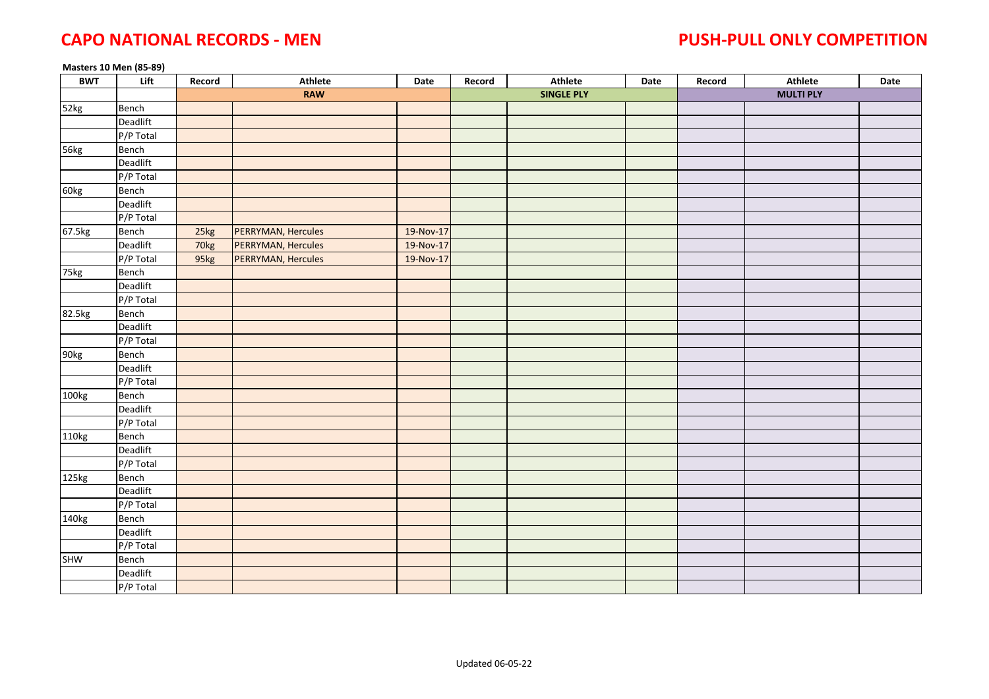#### **Masters 10 Men (85-89)**

| <b>BWT</b> | Lift        | Record | <b>Athlete</b>            | Date      | Record | Athlete           | Date | Record | <b>Athlete</b>   | Date |
|------------|-------------|--------|---------------------------|-----------|--------|-------------------|------|--------|------------------|------|
|            |             |        | <b>RAW</b>                |           |        | <b>SINGLE PLY</b> |      |        | <b>MULTI PLY</b> |      |
| 52kg       | Bench       |        |                           |           |        |                   |      |        |                  |      |
|            | Deadlift    |        |                           |           |        |                   |      |        |                  |      |
|            | P/P Total   |        |                           |           |        |                   |      |        |                  |      |
| 56kg       | Bench       |        |                           |           |        |                   |      |        |                  |      |
|            | Deadlift    |        |                           |           |        |                   |      |        |                  |      |
|            | $P/P$ Total |        |                           |           |        |                   |      |        |                  |      |
| 60kg       | Bench       |        |                           |           |        |                   |      |        |                  |      |
|            | Deadlift    |        |                           |           |        |                   |      |        |                  |      |
|            | P/P Total   |        |                           |           |        |                   |      |        |                  |      |
| 67.5kg     | Bench       | 25kg   | <b>PERRYMAN, Hercules</b> | 19-Nov-17 |        |                   |      |        |                  |      |
|            | Deadlift    | 70kg   | PERRYMAN, Hercules        | 19-Nov-17 |        |                   |      |        |                  |      |
|            | P/P Total   | 95kg   | <b>PERRYMAN, Hercules</b> | 19-Nov-17 |        |                   |      |        |                  |      |
| 75kg       | Bench       |        |                           |           |        |                   |      |        |                  |      |
|            | Deadlift    |        |                           |           |        |                   |      |        |                  |      |
|            | P/P Total   |        |                           |           |        |                   |      |        |                  |      |
| 82.5kg     | Bench       |        |                           |           |        |                   |      |        |                  |      |
|            | Deadlift    |        |                           |           |        |                   |      |        |                  |      |
|            | P/P Total   |        |                           |           |        |                   |      |        |                  |      |
| 90kg       | Bench       |        |                           |           |        |                   |      |        |                  |      |
|            | Deadlift    |        |                           |           |        |                   |      |        |                  |      |
|            | $P/P$ Total |        |                           |           |        |                   |      |        |                  |      |
| 100kg      | Bench       |        |                           |           |        |                   |      |        |                  |      |
|            | Deadlift    |        |                           |           |        |                   |      |        |                  |      |
|            | P/P Total   |        |                           |           |        |                   |      |        |                  |      |
| 110kg      | Bench       |        |                           |           |        |                   |      |        |                  |      |
|            | Deadlift    |        |                           |           |        |                   |      |        |                  |      |
|            | P/P Total   |        |                           |           |        |                   |      |        |                  |      |
| 125kg      | Bench       |        |                           |           |        |                   |      |        |                  |      |
|            | Deadlift    |        |                           |           |        |                   |      |        |                  |      |
|            | P/P Total   |        |                           |           |        |                   |      |        |                  |      |
| 140kg      | Bench       |        |                           |           |        |                   |      |        |                  |      |
|            | Deadlift    |        |                           |           |        |                   |      |        |                  |      |
|            | P/P Total   |        |                           |           |        |                   |      |        |                  |      |
| SHW        | Bench       |        |                           |           |        |                   |      |        |                  |      |
|            | Deadlift    |        |                           |           |        |                   |      |        |                  |      |
|            | P/P Total   |        |                           |           |        |                   |      |        |                  |      |